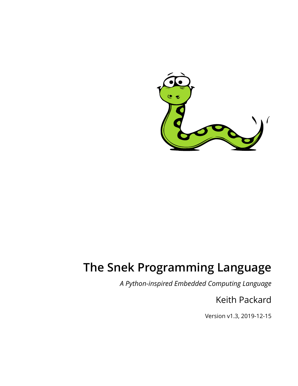

# **The Snek Programming Language**

*A Python-inspired Embedded Computing Language*

## Keith Packard

Version v1.3, 2019-12-15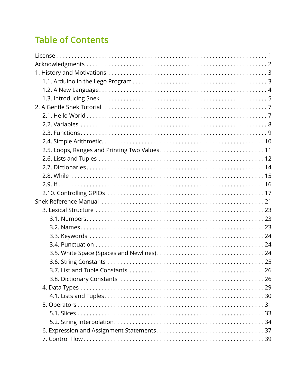# **Table of Contents**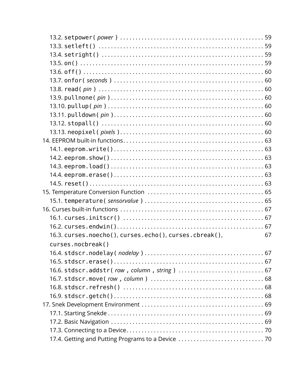| 16.3. curses.noecho(), curses.echo(), curses.cbreak(), | 67 |
|--------------------------------------------------------|----|
| curses.nocbreak()                                      |    |
|                                                        |    |
|                                                        |    |
|                                                        |    |
|                                                        |    |
|                                                        |    |
|                                                        |    |
|                                                        |    |
|                                                        |    |
|                                                        |    |
|                                                        |    |
|                                                        |    |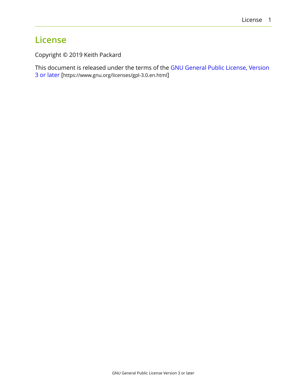## <span id="page-6-0"></span>**License**

Copyright © 2019 Keith Packard

This document is released under the terms of the [GNU General Public License, Version](https://www.gnu.org/licenses/gpl-3.0.en.html) [3 or later](https://www.gnu.org/licenses/gpl-3.0.en.html) [https://www.gnu.org/licenses/gpl-3.0.en.html]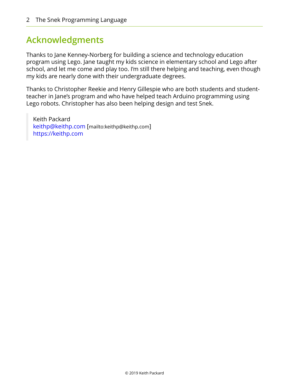## <span id="page-7-0"></span>**Acknowledgments**

Thanks to Jane Kenney-Norberg for building a science and technology education program using Lego. Jane taught my kids science in elementary school and Lego after school, and let me come and play too. I'm still there helping and teaching, even though my kids are nearly done with their undergraduate degrees.

Thanks to Christopher Reekie and Henry Gillespie who are both students and studentteacher in Jane's program and who have helped teach Arduino programming using Lego robots. Christopher has also been helping design and test Snek.

Keith Packard [keithp@keithp.com](mailto:keithp@keithp.com) [mailto:keithp@keithp.com] <https://keithp.com>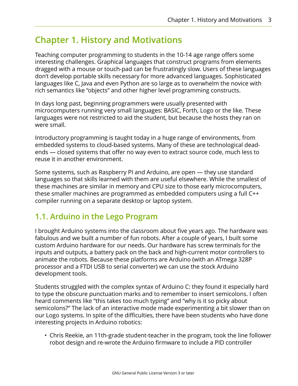## <span id="page-8-0"></span>**Chapter 1. History and Motivations**

Teaching computer programming to students in the 10-14 age range offers some interesting challenges. Graphical languages that construct programs from elements dragged with a mouse or touch-pad can be frustratingly slow. Users of these languages don't develop portable skills necessary for more advanced languages. Sophisticated languages like C, Java and even Python are so large as to overwhelm the novice with rich semantics like "objects" and other higher level programming constructs.

In days long past, beginning programmers were usually presented with microcomputers running very small languages: BASIC, Forth, Logo or the like. These languages were not restricted to aid the student, but because the hosts they ran on were small.

Introductory programming is taught today in a huge range of environments, from embedded systems to cloud-based systems. Many of these are technological deadends — closed systems that offer no way even to extract source code, much less to reuse it in another environment.

Some systems, such as Raspberry PI and Arduino, are open — they use standard languages so that skills learned with them are useful elsewhere. While the smallest of these machines are similar in memory and CPU size to those early microcomputers, these smaller machines are programmed as embedded computers using a full C++ compiler running on a separate desktop or laptop system.

## <span id="page-8-1"></span>**1.1. Arduino in the Lego Program**

I brought Arduino systems into the classroom about five years ago. The hardware was fabulous and we built a number of fun robots. After a couple of years, I built some custom Arduino hardware for our needs. Our hardware has screw terminals for the inputs and outputs, a battery pack on the back and high-current motor controllers to animate the robots. Because these platforms are Arduino (with an ATmega 328P processor and a FTDI USB to serial converter) we can use the stock Arduino development tools.

Students struggled with the complex syntax of Arduino C: they found it especially hard to type the obscure punctuation marks and to remember to insert semicolons. I often heard comments like "this takes too much typing" and "why is it so picky about semicolons?" The lack of an interactive mode made experimenting a bit slower than on our Logo systems. In spite of the difficulties, there have been students who have done interesting projects in Arduino robotics:

• Chris Reekie, an 11th-grade student-teacher in the program, took the line follower robot design and re-wrote the Arduino firmware to include a PID controller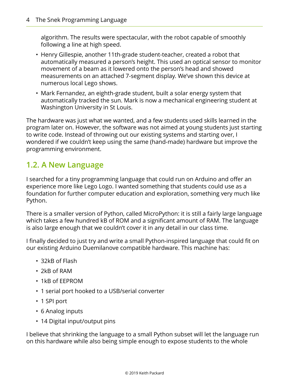algorithm. The results were spectacular, with the robot capable of smoothly following a line at high speed.

- Henry Gillespie, another 11th-grade student-teacher, created a robot that automatically measured a person's height. This used an optical sensor to monitor movement of a beam as it lowered onto the person's head and showed measurements on an attached 7-segment display. We've shown this device at numerous local Lego shows.
- Mark Fernandez, an eighth-grade student, built a solar energy system that automatically tracked the sun. Mark is now a mechanical engineering student at Washington University in St Louis.

The hardware was just what we wanted, and a few students used skills learned in the program later on. However, the software was not aimed at young students just starting to write code. Instead of throwing out our existing systems and starting over, I wondered if we couldn't keep using the same (hand-made) hardware but improve the programming environment.

## <span id="page-9-0"></span>**1.2. A New Language**

I searched for a tiny programming language that could run on Arduino and offer an experience more like Lego Logo. I wanted something that students could use as a foundation for further computer education and exploration, something very much like Python.

There is a smaller version of Python, called MicroPython: it is still a fairly large language which takes a few hundred kB of ROM and a significant amount of RAM. The language is also large enough that we couldn't cover it in any detail in our class time.

I finally decided to just try and write a small Python-inspired language that could fit on our existing Arduino Duemilanove compatible hardware. This machine has:

- 32kB of Flash
- 2kB of RAM
- 1kB of EEPROM
- 1 serial port hooked to a USB/serial converter
- 1 SPI port
- 6 Analog inputs
- 14 Digital input/output pins

I believe that shrinking the language to a small Python subset will let the language run on this hardware while also being simple enough to expose students to the whole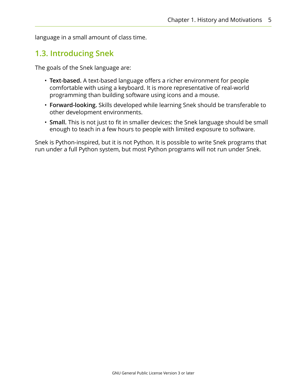language in a small amount of class time.

## <span id="page-10-0"></span>**1.3. Introducing Snek**

The goals of the Snek language are:

- **Text-based.** A text-based language offers a richer environment for people comfortable with using a keyboard. It is more representative of real-world programming than building software using icons and a mouse.
- **Forward-looking.** Skills developed while learning Snek should be transferable to other development environments.
- **Small.** This is not just to fit in smaller devices: the Snek language should be small enough to teach in a few hours to people with limited exposure to software.

Snek is Python-inspired, but it is not Python. It is possible to write Snek programs that run under a full Python system, but most Python programs will not run under Snek.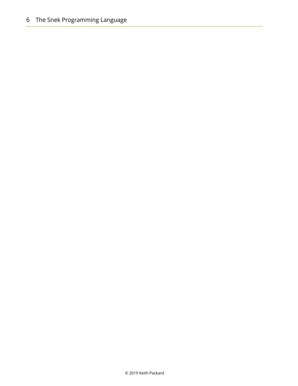### 6 The Snek Programming Language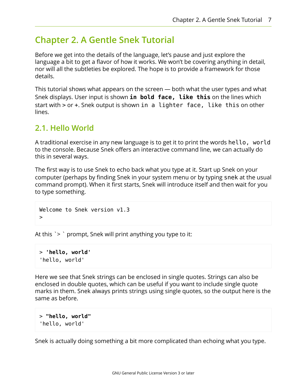## <span id="page-12-0"></span>**Chapter 2. A Gentle Snek Tutorial**

Before we get into the details of the language, let's pause and just explore the language a bit to get a flavor of how it works. We won't be covering anything in detail, nor will all the subtleties be explored. The hope is to provide a framework for those details.

This tutorial shows what appears on the screen — both what the user types and what Snek displays. User input is shown **in bold face, like this** on the lines which start with > or +. Snek output is shown in a lighter face, like this on other lines.

## <span id="page-12-1"></span>**2.1. Hello World**

A traditional exercise in any new language is to get it to print the words hello, world to the console. Because Snek offers an interactive command line, we can actually do this in several ways.

The first way is to use Snek to echo back what you type at it. Start up Snek on your computer (perhaps by finding Snek in your system menu or by typing snek at the usual command prompt). When it first starts, Snek will introduce itself and then wait for you to type something.

```
Welcome to Snek version v1.3
>
```
At this `> ` prompt, Snek will print anything you type to it:

```
> 'hello, world'
'hello, world'
```
Here we see that Snek strings can be enclosed in single quotes. Strings can also be enclosed in double quotes, which can be useful if you want to include single quote marks in them. Snek always prints strings using single quotes, so the output here is the same as before.

```
> "hello, world"
'hello, world'
```
Snek is actually doing something a bit more complicated than echoing what you type.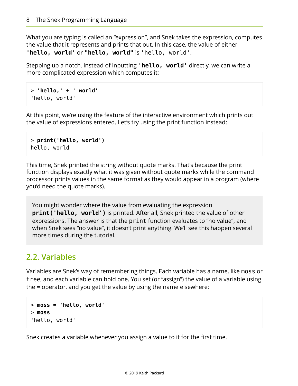What you are typing is called an "expression", and Snek takes the expression, computes the value that it represents and prints that out. In this case, the value of either **'hello, world'** or **"hello, world"** is 'hello, world'.

Stepping up a notch, instead of inputting **'hello, world'** directly, we can write a more complicated expression which computes it:

```
> 'hello,' + ' world'
'hello, world'
```
At this point, we're using the feature of the interactive environment which prints out the value of expressions entered. Let's try using the print function instead:

```
> print('hello, world')
hello, world
```
This time, Snek printed the string without quote marks. That's because the print function displays exactly what it was given without quote marks while the command processor prints values in the same format as they would appear in a program (where you'd need the quote marks).

You might wonder where the value from evaluating the expression **print('hello, world')** is printed. After all, Snek printed the value of other expressions. The answer is that the print function evaluates to "no value", and when Snek sees "no value", it doesn't print anything. We'll see this happen several more times during the tutorial.

### <span id="page-13-0"></span>**2.2. Variables**

Variables are Snek's way of remembering things. Each variable has a name, like moss or tree, and each variable can hold one. You set (or "assign") the value of a variable using the = operator, and you get the value by using the name elsewhere:

```
> moss = 'hello, world'
> moss
'hello, world'
```
Snek creates a variable whenever you assign a value to it for the first time.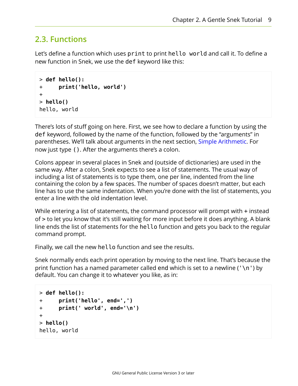### <span id="page-14-0"></span>**2.3. Functions**

Let's define a function which uses print to print hello world and call it. To define a new function in Snek, we use the def keyword like this:

```
> def hello():
+ print('hello, world')
+
> hello()
hello, world
```
There's lots of stuff going on here. First, we see how to declare a function by using the def keyword, followed by the name of the function, followed by the "arguments" in parentheses. We'll talk about arguments in the next section, [Simple Arithmetic.](#page-15-0) For now just type (). After the arguments there's a colon.

Colons appear in several places in Snek and (outside of dictionaries) are used in the same way. After a colon, Snek expects to see a list of statements. The usual way of including a list of statements is to type them, one per line, indented from the line containing the colon by a few spaces. The number of spaces doesn't matter, but each line has to use the same indentation. When you're done with the list of statements, you enter a line with the old indentation level.

While entering a list of statements, the command processor will prompt with + instead of > to let you know that it's still waiting for more input before it does anything. A blank line ends the list of statements for the hello function and gets you back to the regular command prompt.

Finally, we call the new hello function and see the results.

Snek normally ends each print operation by moving to the next line. That's because the print function has a named parameter called end which is set to a newline ( $\lceil \ln \rceil$ ) by default. You can change it to whatever you like, as in:

```
> def hello():
+ print('hello', end=',')
+ print(' world', end='\n')
+> hello()
hello, world
```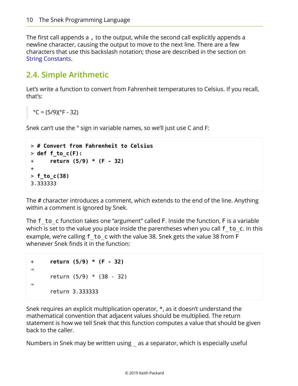The first call appends a , to the output, while the second call explicitly appends a newline character, causing the output to move to the next line. There are a few characters that use this backslash notation; those are described in the section on [String Constants.](#page-30-0)

## <span id="page-15-0"></span>**2.4. Simple Arithmetic**

Let's write a function to convert from Fahrenheit temperatures to Celsius. If you recall, that's:

 $^{\circ}$ C = (5/9)( $^{\circ}$ F - 32)

Snek can't use the ° sign in variable names, so we'll just use C and F:

```
> # Convert from Fahrenheit to Celsius
> def f to c(F):
+ return (5/9) * (F - 32)
+
> f_to_c(38)
3.333333
```
The # character introduces a comment, which extends to the end of the line. Anything within a comment is ignored by Snek.

The f to c function takes one "argument" called F. Inside the function, F is a variable which is set to the value you place inside the parentheses when you call f to c. In this example, we're calling f to c with the value 38. Snek gets the value 38 from F whenever Snek finds it in the function:

```
+ return (5/9) * (F - 32)
⇒
        return (5/9) * (38 - 32)
⇒
        return 3.333333
```
Snek requires an explicit multiplication operator, \*, as it doesn't understand the mathematical convention that adjacent values should be multiplied. The return statement is how we tell Snek that this function computes a value that should be given back to the caller.

Numbers in Snek may be written using \_ as a separator, which is especially useful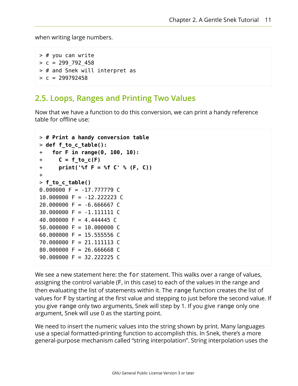when writing large numbers.

> # you can write  $> c = 299$  792 458 > # and Snek will interpret as  $> c = 299792458$ 

## <span id="page-16-0"></span>**2.5. Loops, Ranges and Printing Two Values**

Now that we have a function to do this conversion, we can print a handy reference table for offline use:

```
> # Print a handy conversion table
> def f_to_c_table():
+ for F in range(0, 100, 10):
+ C = f to c(F)+ print('%f F = %f C' % (F, C))
+> f to c table()
0.000000 F = -17.777779 C
10.000000 F = -12.222223 C
20.000000 F = -6.666667 C
30.000000 F = -1.111111 C
40.000000 F = 4.444445 C
50.000000 F = 10.000000 C
60.000000 F = 15.555556 C
70.000000 F = 21.111113 C
80.000000 F = 26.666668 C
90.000000 F = 32.222225 C
```
We see a new statement here: the for statement. This walks over a range of values, assigning the control variable (F, in this case) to each of the values in the range and then evaluating the list of statements within it. The range function creates the list of values for F by starting at the first value and stepping to just before the second value. If you give range only two arguments, Snek will step by 1. If you give range only one argument, Snek will use 0 as the starting point.

We need to insert the numeric values into the string shown by print. Many languages use a special formatted-printing function to accomplish this. In Snek, there's a more general-purpose mechanism called "string interpolation". String interpolation uses the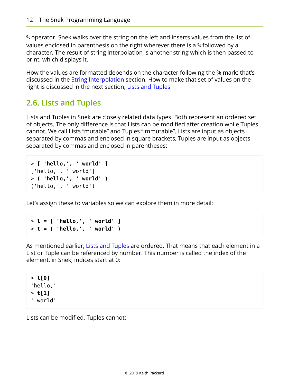% operator. Snek walks over the string on the left and inserts values from the list of values enclosed in parenthesis on the right wherever there is a % followed by a character. The result of string interpolation is another string which is then passed to print, which displays it.

How the values are formatted depends on the character following the % mark; that's discussed in the [String Interpolation](#page-39-0) section. How to make that set of values on the right is discussed in the next section, [Lists and Tuples](#page-17-0)

## <span id="page-17-0"></span>**2.6. Lists and Tuples**

Lists and Tuples in Snek are closely related data types. Both represent an ordered set of objects. The only difference is that Lists can be modified after creation while Tuples cannot. We call Lists "mutable" and Tuples "immutable". Lists are input as objects separated by commas and enclosed in square brackets, Tuples are input as objects separated by commas and enclosed in parentheses:

```
> [ 'hello,', ' world' ]
['hello,', ' world']
> ( 'hello,', ' world' )
('hello,', ' world')
```
Let's assign these to variables so we can explore them in more detail:

> **l = [ 'hello,', ' world' ]** > **t = ( 'hello,', ' world' )**

As mentioned earlier, [Lists and Tuples](#page-17-0) are ordered. That means that each element in a List or Tuple can be referenced by number. This number is called the index of the element, in Snek, indices start at 0:

> **l[0]** 'hello,' > **t[1]** ' world'

Lists can be modified, Tuples cannot: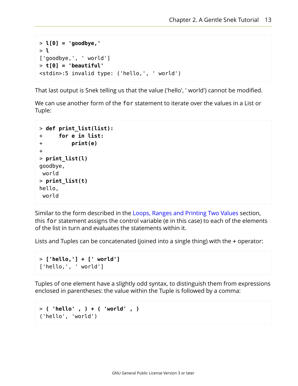```
> l[0] = 'goodbye,'
> l
['goodbye,', ' world']
> t[0] = 'beautiful'
<stdin>:5 invalid type: ('hello,', ' world')
```
That last output is Snek telling us that the value ('hello', ' world') cannot be modified.

<span id="page-18-0"></span>We can use another form of the for statement to iterate over the values in a List or Tuple:

```
> def print_list(list):
+ for e in list:
+ print(e)
+> print_list(l)
goodbye,
 world
> print list(t)
hello,
 world
```
Similar to the form described in the [Loops, Ranges and Printing Two Values](#page-16-0) section, this for statement assigns the control variable (e in this case) to each of the elements of the list in turn and evaluates the statements within it.

Lists and Tuples can be concatenated (joined into a single thing) with the + operator:

```
> ['hello,'] + [' world']
['hello,', ' world']
```
Tuples of one element have a slightly odd syntax, to distinguish them from expressions enclosed in parentheses: the value within the Tuple is followed by a comma:

```
> ( 'hello' , ) + ( 'world' , )
('hello', 'world')
```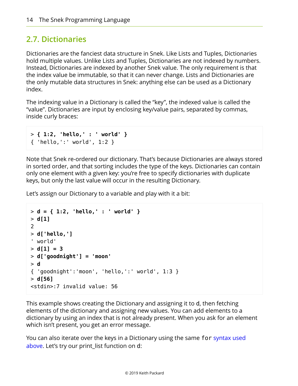## <span id="page-19-0"></span>**2.7. Dictionaries**

Dictionaries are the fanciest data structure in Snek. Like Lists and Tuples, Dictionaries hold multiple values. Unlike Lists and Tuples, Dictionaries are not indexed by numbers. Instead, Dictionaries are indexed by another Snek value. The only requirement is that the index value be immutable, so that it can never change. Lists and Dictionaries are the only mutable data structures in Snek: anything else can be used as a Dictionary index.

The indexing value in a Dictionary is called the "key", the indexed value is called the "value". Dictionaries are input by enclosing key/value pairs, separated by commas, inside curly braces:

```
> { 1:2, 'hello,' : ' world' }
{ 'hello,':' world', 1:2 }
```
Note that Snek re-ordered our dictionary. That's because Dictionaries are always stored in sorted order, and that sorting includes the type of the keys. Dictionaries can contain only one element with a given key: you're free to specify dictionaries with duplicate keys, but only the last value will occur in the resulting Dictionary.

Let's assign our Dictionary to a variable and play with it a bit:

```
> d = { 1:2, 'hello,' : ' world' }
> d[1]
2
> d['hello,']
' world'
> d[1] = 3
> d['goodnight'] = 'moon'
> d
{ 'goodnight':'moon', 'hello,':' world', 1:3 }
> d[56]
<stdin>:7 invalid value: 56
```
This example shows creating the Dictionary and assigning it to d, then fetching elements of the dictionary and assigning new values. You can add elements to a dictionary by using an index that is not already present. When you ask for an element which isn't present, you get an error message.

You can also iterate over the keys in a Dictionary using the same for [syntax used](#page-18-0) [above.](#page-18-0) Let's try our print list function on d: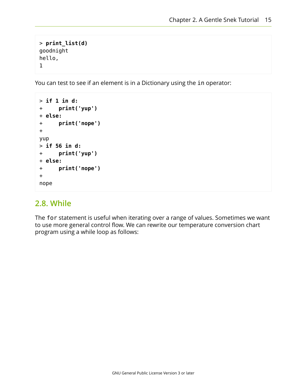```
> print_list(d)
goodnight
hello,
1
```
You can test to see if an element is in a Dictionary using the in operator:

```
> if 1 in d:
+ print('yup')
+ else:
+ print('nope')
+yup
> if 56 in d:
+ print('yup')
+ else:
+ print('nope')
+nope
```
## <span id="page-20-0"></span>**2.8. While**

The for statement is useful when iterating over a range of values. Sometimes we want to use more general control flow. We can rewrite our temperature conversion chart program using a while loop as follows: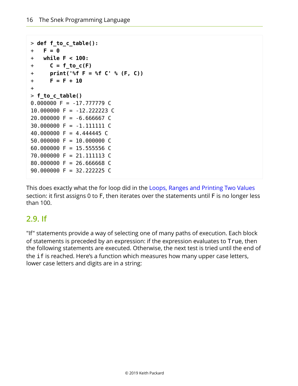```
> def f_to_c_table():
+ F = 0
+ while F < 100:
+ C = f to c(F)+ print('%f F = %f C' % (F, C))
+ F = F + 10
+
> f to c table()
0.000000 F = -17.777779 C
10.000000 F = -12.222223 C
20.000000 F = -6.666667 C
30.000000 F = -1.111111 C
40.000000 F = 4.444445 C
50.000000 F = 10.000000 C
60.000000 F = 15.555556 C
70.000000 F = 21.111113 C
80.000000 F = 26.666668 C
90.000000 F = 32.222225 C
```
This does exactly what the for loop did in the [Loops, Ranges and Printing Two Values](#page-16-0) section: it first assigns 0 to F, then iterates over the statements until F is no longer less than 100.

## <span id="page-21-0"></span>**2.9. If**

"If" statements provide a way of selecting one of many paths of execution. Each block of statements is preceded by an expression: if the expression evaluates to True, then the following statements are executed. Otherwise, the next test is tried until the end of the if is reached. Here's a function which measures how many upper case letters, lower case letters and digits are in a string: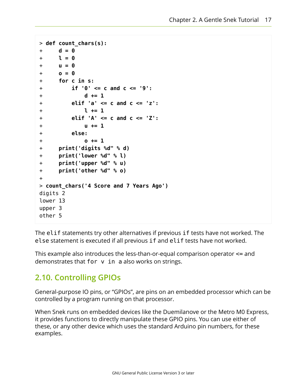```
> def count_chars(s):
+ d = 0
+ l = 0
+ u = 0
+ o = 0
+ for c in s:
+ if '0' <= c and c <= '9':
+ d += 1
+ elif 'a' <= c and c <= 'z':
+ l += 1
+ elif 'A' <= c and c <= 'Z':
+ u += 1
+ else:
+ o += 1
+ print('digits %d" % d)
+ print('lower %d" % l)
+ print('upper %d" % u)
+ print('other %d" % o)
+
> count_chars('4 Score and 7 Years Ago')
digits 2
lower 13
upper 3
other 5
```
The elif statements try other alternatives if previous if tests have not worked. The else statement is executed if all previous if and elif tests have not worked.

This example also introduces the less-than-or-equal comparison operator <= and demonstrates that for v in a also works on strings.

## <span id="page-22-0"></span>**2.10. Controlling GPIOs**

General-purpose IO pins, or "GPIOs", are pins on an embedded processor which can be controlled by a program running on that processor.

When Snek runs on embedded devices like the Duemilanove or the Metro M0 Express, it provides functions to directly manipulate these GPIO pins. You can use either of these, or any other device which uses the standard Arduino pin numbers, for these examples.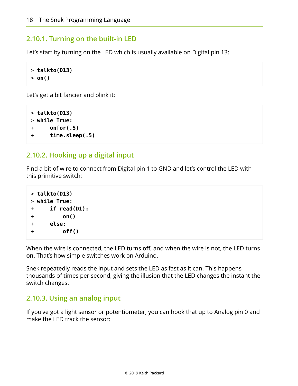### **2.10.1. Turning on the built-in LED**

Let's start by turning on the LED which is usually available on Digital pin 13:

```
> talkto(D13)
> on()
```
Let's get a bit fancier and blink it:

```
> talkto(D13)
> while True:
+ onfor(.5)
+ time.sleep(.5)
```
## **2.10.2. Hooking up a digital input**

Find a bit of wire to connect from Digital pin 1 to GND and let's control the LED with this primitive switch:

```
> talkto(D13)
> while True:
+ if read(D1):
+ on()
+ else:
+ off()
```
When the wire is connected, the LED turns **off**, and when the wire is not, the LED turns **on**. That's how simple switches work on Arduino.

Snek repeatedly reads the input and sets the LED as fast as it can. This happens thousands of times per second, giving the illusion that the LED changes the instant the switch changes.

### **2.10.3. Using an analog input**

If you've got a light sensor or potentiometer, you can hook that up to Analog pin 0 and make the LED track the sensor: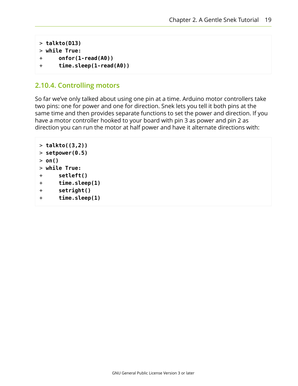```
> talkto(D13)
```

```
> while True:
```
- + **onfor(1-read(A0))**
- + **time.sleep(1-read(A0))**

### **2.10.4. Controlling motors**

So far we've only talked about using one pin at a time. Arduino motor controllers take two pins: one for power and one for direction. Snek lets you tell it both pins at the same time and then provides separate functions to set the power and direction. If you have a motor controller hooked to your board with pin 3 as power and pin 2 as direction you can run the motor at half power and have it alternate directions with:

```
> talkto((3,2))
> setpower(0.5)
> on()
> while True:
+ setleft()
+ time.sleep(1)
+ setright()
+ time.sleep(1)
```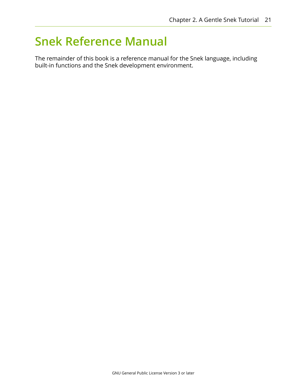# <span id="page-26-0"></span>**Snek Reference Manual**

The remainder of this book is a reference manual for the Snek language, including built-in functions and the Snek development environment.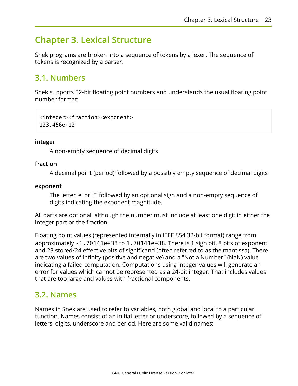## <span id="page-28-0"></span>**Chapter 3. Lexical Structure**

Snek programs are broken into a sequence of tokens by a lexer. The sequence of tokens is recognized by a parser.

## <span id="page-28-1"></span>**3.1. Numbers**

Snek supports 32-bit floating point numbers and understands the usual floating point number format:

<integer><fraction><exponent> 123.456e+12

#### **integer**

A non-empty sequence of decimal digits

#### **fraction**

A decimal point (period) followed by a possibly empty sequence of decimal digits

#### **exponent**

The letter 'e' or 'E' followed by an optional sign and a non-empty sequence of digits indicating the exponent magnitude.

All parts are optional, although the number must include at least one digit in either the integer part or the fraction.

Floating point values (represented internally in IEEE 854 32-bit format) range from approximately -1.70141e+38 to 1.70141e+38. There is 1 sign bit, 8 bits of exponent and 23 stored/24 effective bits of significand (often referred to as the mantissa). There are two values of infinity (positive and negative) and a "Not a Number" (NaN) value indicating a failed computation. Computations using integer values will generate an error for values which cannot be represented as a 24-bit integer. That includes values that are too large and values with fractional components.

### <span id="page-28-2"></span>**3.2. Names**

Names in Snek are used to refer to variables, both global and local to a particular function. Names consist of an initial letter or underscore, followed by a sequence of letters, digits, underscore and period. Here are some valid names: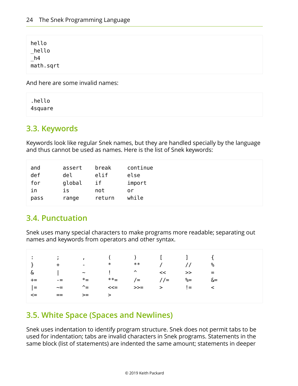hello \_hello  $-h4$ math.sqrt

And here are some invalid names:

.hello 4square

## <span id="page-29-0"></span>**3.3. Keywords**

Keywords look like regular Snek names, but they are handled specially by the language and thus cannot be used as names. Here is the list of Snek keywords:

## <span id="page-29-1"></span>**3.4. Punctuation**

Snek uses many special characters to make programs more readable; separating out names and keywords from operators and other syntax.

|           |       | $\vdots$ ; , ( ) [ ] {<br>} + - * * * / // % |  |    |  |
|-----------|-------|----------------------------------------------|--|----|--|
|           |       | &   ~   ^ << >>                              |  |    |  |
|           |       | += −= *= **= /= //=                          |  | %= |  |
| $\vert$ = |       |                                              |  |    |  |
|           | <= == | $>=$                                         |  |    |  |
|           |       |                                              |  |    |  |

## <span id="page-29-2"></span>**3.5. White Space (Spaces and Newlines)**

Snek uses indentation to identify program structure. Snek does not permit tabs to be used for indentation; tabs are invalid characters in Snek programs. Statements in the same block (list of statements) are indented the same amount; statements in deeper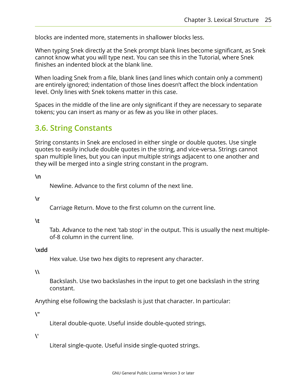blocks are indented more, statements in shallower blocks less.

When typing Snek directly at the Snek prompt blank lines become significant, as Snek cannot know what you will type next. You can see this in the Tutorial, where Snek finishes an indented block at the blank line.

When loading Snek from a file, blank lines (and lines which contain only a comment) are entirely ignored; indentation of those lines doesn't affect the block indentation level. Only lines with Snek tokens matter in this case.

Spaces in the middle of the line are only significant if they are necessary to separate tokens; you can insert as many or as few as you like in other places.

## <span id="page-30-0"></span>**3.6. String Constants**

String constants in Snek are enclosed in either single or double quotes. Use single quotes to easily include double quotes in the string, and vice-versa. Strings cannot span multiple lines, but you can input multiple strings adjacent to one another and they will be merged into a single string constant in the program.

**\n**

Newline. Advance to the first column of the next line.

**\r**

Carriage Return. Move to the first column on the current line.

**\t**

Tab. Advance to the next 'tab stop' in the output. This is usually the next multipleof-8 column in the current line.

### **\xdd**

Hex value. Use two hex digits to represent any character.

**\\**

Backslash. Use two backslashes in the input to get one backslash in the string constant.

Anything else following the backslash is just that character. In particular:

**\"**

Literal double-quote. Useful inside double-quoted strings.

**\'**

Literal single-quote. Useful inside single-quoted strings.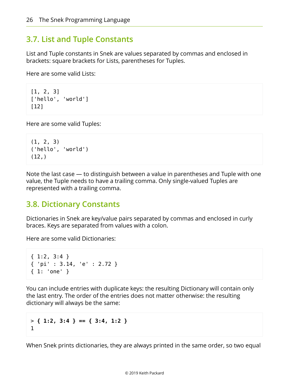## <span id="page-31-0"></span>**3.7. List and Tuple Constants**

List and Tuple constants in Snek are values separated by commas and enclosed in brackets: square brackets for Lists, parentheses for Tuples.

Here are some valid Lists:

[1, 2, 3] ['hello', 'world'] [12]

Here are some valid Tuples:

```
(1, 2, 3)
('hello', 'world')
(12,)
```
Note the last case — to distinguish between a value in parentheses and Tuple with one value, the Tuple needs to have a trailing comma. Only single-valued Tuples are represented with a trailing comma.

### <span id="page-31-1"></span>**3.8. Dictionary Constants**

Dictionaries in Snek are key/value pairs separated by commas and enclosed in curly braces. Keys are separated from values with a colon.

Here are some valid Dictionaries:

```
{ 1:2, 3:4 }
{ 'pi' : 3.14, 'e' : 2.72 }
{ 1: 'one' }
```
You can include entries with duplicate keys: the resulting Dictionary will contain only the last entry. The order of the entries does not matter otherwise: the resulting dictionary will always be the same:

> **{ 1:2, 3:4 } == { 3:4, 1:2 }** 1

When Snek prints dictionaries, they are always printed in the same order, so two equal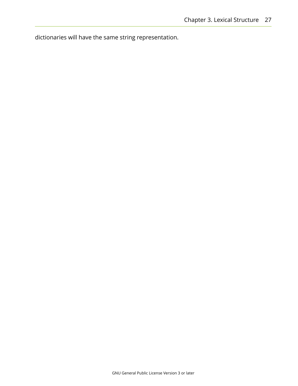dictionaries will have the same string representation.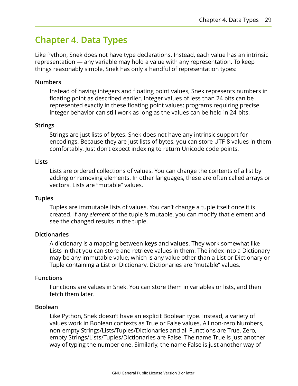## <span id="page-34-0"></span>**Chapter 4. Data Types**

Like Python, Snek does not have type declarations. Instead, each value has an intrinsic representation — any variable may hold a value with any representation. To keep things reasonably simple, Snek has only a handful of representation types:

#### **Numbers**

Instead of having integers and floating point values, Snek represents numbers in floating point as described earlier. Integer values of less than 24 bits can be represented exactly in these floating point values: programs requiring precise integer behavior can still work as long as the values can be held in 24-bits.

#### **Strings**

Strings are just lists of bytes. Snek does not have any intrinsic support for encodings. Because they are just lists of bytes, you can store UTF-8 values in them comfortably. Just don't expect indexing to return Unicode code points.

#### **Lists**

Lists are ordered collections of values. You can change the contents of a list by adding or removing elements. In other languages, these are often called arrays or vectors. Lists are "mutable" values.

#### **Tuples**

Tuples are immutable lists of values. You can't change a tuple itself once it is created. If any *element* of the tuple *is* mutable, you can modify that element and see the changed results in the tuple.

### **Dictionaries**

A dictionary is a mapping between **keys** and **values**. They work somewhat like Lists in that you can store and retrieve values in them. The index into a Dictionary may be any immutable value, which is any value other than a List or Dictionary or Tuple containing a List or Dictionary. Dictionaries are "mutable" values.

#### **Functions**

Functions are values in Snek. You can store them in variables or lists, and then fetch them later.

#### **Boolean**

Like Python, Snek doesn't have an explicit Boolean type. Instead, a variety of values work in Boolean contexts as True or False values. All non-zero Numbers, non-empty Strings/Lists/Tuples/Dictionaries and all Functions are True. Zero, empty Strings/Lists/Tuples/Dictionaries are False. The name True is just another way of typing the number one. Similarly, the name False is just another way of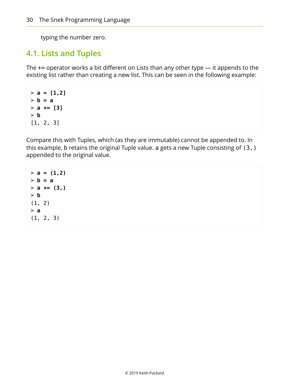typing the number zero.

### <span id="page-35-0"></span>**4.1. Lists and Tuples**

The += operator works a bit different on Lists than any other type — it appends to the existing list rather than creating a new list. This can be seen in the following example:

> **a = [1,2]** > **b = a** > **a += [3]** > **b** [1, 2, 3]

Compare this with Tuples, which (as they are immutable) cannot be appended to. In this example, b retains the original Tuple value. a gets a new Tuple consisting of (3,) appended to the original value.

> **a = (1,2)** > **b = a** > **a += (3,)** > **b** (1, 2) > **a** (1, 2, 3)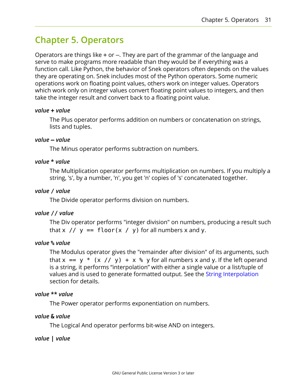# **Chapter 5. Operators**

Operators are things like + or –. They are part of the grammar of the language and serve to make programs more readable than they would be if everything was a function call. Like Python, the behavior of Snek operators often depends on the values they are operating on. Snek includes most of the Python operators. Some numeric operations work on floating point values, others work on integer values. Operators which work only on integer values convert floating point values to integers, and then take the integer result and convert back to a floating point value.

### *value* **+** *value*

The Plus operator performs addition on numbers or concatenation on strings, lists and tuples.

### *value* **–** *value*

The Minus operator performs subtraction on numbers.

### *value* **\*** *value*

The Multiplication operator performs multiplication on numbers. If you multiply a string, 's', by a number, 'n', you get 'n' copies of 's' concatenated together.

### *value* **/** *value*

The Divide operator performs division on numbers.

### *value* **//** *value*

The Div operator performs "integer division" on numbers, producing a result such that  $x / y ==$  floor $(x / y)$  for all numbers x and y.

### *value* **%** *value*

The Modulus operator gives the "remainder after division" of its arguments, such that  $x = y * (x / / y) + x * y$  for all numbers x and y. If the left operand is a string, it performs "interpolation" with either a single value or a list/tuple of values and is used to generate formatted output. See the [String Interpolation](#page-39-0) section for details.

### *value* **\*\*** *value*

The Power operator performs exponentiation on numbers.

### *value* **&** *value*

The Logical And operator performs bit-wise AND on integers.

### *value* **|** *value*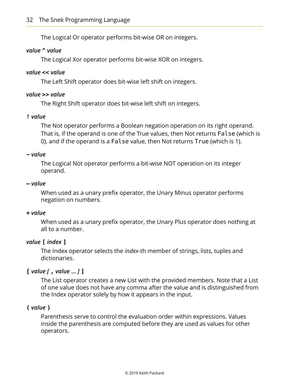The Logical Or operator performs bit-wise OR on integers.

#### *value* **^** *value*

The Logical Xor operator performs bit-wise XOR on integers.

#### *value* **<<** *value*

The Left Shift operator does bit-wise left shift on integers.

#### *value* **>>** *value*

The Right Shift operator does bit-wise left shift on integers.

#### **!** *value*

The Not operator performs a Boolean negation operation on its right operand. That is, if the operand is one of the True values, then Not returns False (which is 0), and if the operand is a False value, then Not returns True (which is 1).

#### **~** *value*

The Logical Not operator performs a bit-wise NOT operation on its integer operand.

#### **–** *value*

When used as a unary prefix operator, the Unary Minus operator performs negation on numbers.

#### **+** *value*

When used as a unary prefix operator, the Unary Plus operator does nothing at all to a number.

#### *value* **[** *index* **]**

The Index operator selects the *index*-th member of strings, lists, tuples and dictionaries.

#### **[** *value [* **,** *value* **…** *]* **]**

The List operator creates a new List with the provided members. Note that a List of one value does not have any comma after the value and is distinguished from the Index operator solely by how it appears in the input.

#### **(** *value* **)**

Parenthesis serve to control the evaluation order within expressions. Values inside the parenthesis are computed before they are used as values for other operators.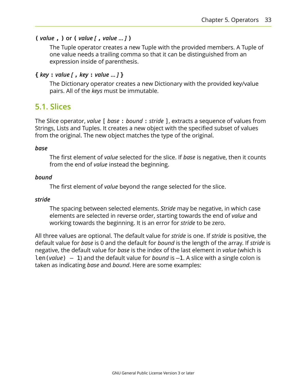### **(** *value* **, ) or (** *value [* **,** *value* **…** *]* **)**

The Tuple operator creates a new Tuple with the provided members. A Tuple of one value needs a trailing comma so that it can be distinguished from an expression inside of parenthesis.

#### **{** *key* **:** *value [* **,** *key* **:** *value* **…** *]* **}**

The Dictionary operator creates a new Dictionary with the provided key/value pairs. All of the *keys* must be immutable.

### **5.1. Slices**

The Slice operator, *value* [ *base* : *bound* : *stride* ], extracts a sequence of values from Strings, Lists and Tuples. It creates a new object with the specified subset of values from the original. The new object matches the type of the original.

#### *base*

The first element of *value* selected for the slice. If *base* is negative, then it counts from the end of *value* instead the beginning.

#### *bound*

The first element of *value* beyond the range selected for the slice.

#### *stride*

The spacing between selected elements. *Stride* may be negative, in which case elements are selected in reverse order, starting towards the end of *value* and working towards the beginning. It is an error for *stride* to be zero.

All three values are optional. The default value for *stride* is one. If *stride* is positive, the default value for *base* is 0 and the default for *bound* is the length of the array. If *stride* is negative, the default value for *base* is the index of the last element in *value* (which is len(*value*) – 1) and the default value for *bound* is –1. A slice with a single colon is taken as indicating *base* and *bound*. Here are some examples: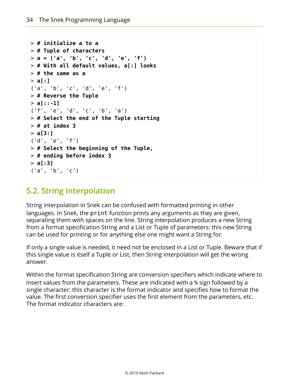```
> # initialize a to a
> # Tuple of characters
> a = ('a', 'b', 'c', 'd', 'e', 'f')
> # With all default values, a[:] looks
> # the same as a
> a[:]
('a', 'b', 'c', 'd', 'e', 'f')
> # Reverse the Tuple
> a[::-1]
('f', 'e', 'd', 'c', 'b', 'a')
> # Select the end of the Tuple starting
> # at index 3
> a[3:]
('d', 'e', 'f')
> # Select the beginning of the Tuple,
> # ending before index 3
> a[:3]
('a', 'b', 'c')
```
# <span id="page-39-0"></span>**5.2. String Interpolation**

String interpolation in Snek can be confused with formatted printing in other languages. In Snek, the print function prints any arguments as they are given, separating them with spaces on the line. String interpolation produces a new String from a format specification String and a List or Tuple of parameters: this new String can be used for printing or for anything else one might want a String for.

If only a single value is needed, it need not be enclosed in a List or Tuple. Beware that if this single value is itself a Tuple or List, then String interpolation will get the wrong answer.

Within the format specification String are conversion specifiers which indicate where to insert values from the parameters. These are indicated with a % sign followed by a single character: this character is the format indicator and specifies how to format the value. The first conversion specifier uses the first element from the parameters, etc. The format indicator characters are: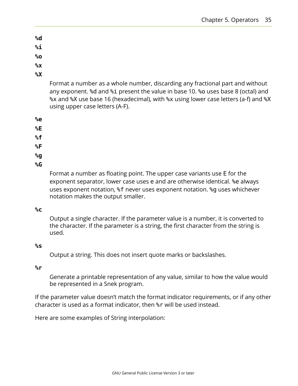**%d**

**%i**

**%o**

**%x**

**%X**

Format a number as a whole number, discarding any fractional part and without any exponent. %d and %i present the value in base 10. %o uses base 8 (octal) and %x and %X use base 16 (hexadecimal), with %x using lower case letters (a-f) and %X using upper case letters (A-F).

**%e**

**%E**

**%f**

**%F**

**%g**

**%G**

Format a number as floating point. The upper case variants use E for the exponent separator, lower case uses e and are otherwise identical. %e always uses exponent notation, %f never uses exponent notation. %g uses whichever notation makes the output smaller.

### **%c**

Output a single character. If the parameter value is a number, it is converted to the character. If the parameter is a string, the first character from the string is used.

### **%s**

Output a string. This does not insert quote marks or backslashes.

### **%r**

Generate a printable representation of any value, similar to how the value would be represented in a Snek program.

If the parameter value doesn't match the format indicator requirements, or if any other character is used as a format indicator, then %r will be used instead.

Here are some examples of String interpolation: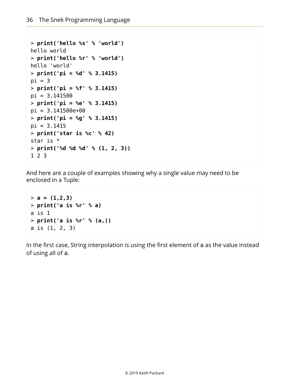```
> print('hello %s' % 'world')
hello world
> print('hello %r' % 'world')
hello 'world'
> print('pi = %d' % 3.1415)
pi = 3> print('pi = %f' % 3.1415)
pi = 3.141500
> print('pi = %e' % 3.1415)
pi = 3.141500e+00> print('pi = %g' % 3.1415)
pi = 3.1415
> print('star is %c' % 42)
star is *
> print('%d %d %d' % (1, 2, 3))
1 2 3
```
And here are a couple of examples showing why a single value may need to be enclosed in a Tuple:

```
> a = (1,2,3)
> print('a is %r' % a)
a is 1
> print('a is %r' % (a,))
a is (1, 2, 3)
```
In the first case, String interpolation is using the first element of a as the value instead of using all of a.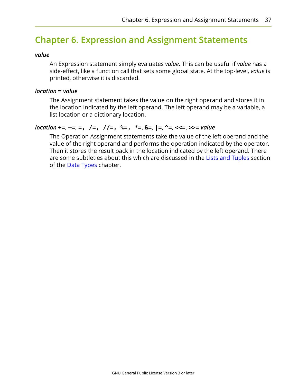# **Chapter 6. Expression and Assignment Statements**

#### *value*

An Expression statement simply evaluates *value*. This can be useful if *value* has a side-effect, like a function call that sets some global state. At the top-level, *value* is printed, otherwise it is discarded.

#### *location* **=** *value*

The Assignment statement takes the value on the right operand and stores it in the location indicated by the left operand. The left operand may be a variable, a list location or a dictionary location.

### *location* **+=, –=, =, /=, //=, %=, \*=, &=, |=, ^=, <<=, >>=** *value*

The Operation Assignment statements take the value of the left operand and the value of the right operand and performs the operation indicated by the operator. Then it stores the result back in the location indicated by the left operand. There are some subtleties about this which are discussed in the [Lists and Tuples](#page-35-0) section of the [Data Types](#page-34-0) chapter.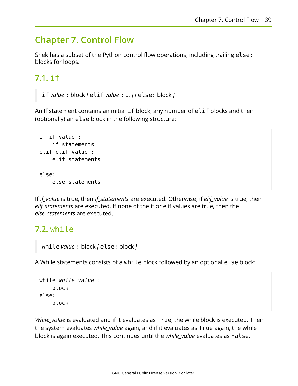# **Chapter 7. Control Flow**

Snek has a subset of the Python control flow operations, including trailing else: blocks for loops.

# **7.1.** if

if *value* : block *[* elif *value* : … *] [* else: block *]*

An If statement contains an initial if block, any number of elif blocks and then (optionally) an else block in the following structure:

```
if if value :
      if statements
elif elif_value :
      elif_statements
…
else:
      else_statements
```
If *if* value is true, then *if* statements are executed. Otherwise, if *elif* value is true, then *elif\_statements* are executed. If none of the if or elif values are true, then the *else\_statements* are executed.

# **7.2.** while

while *value* : block *[* else: block *]*

A While statements consists of a while block followed by an optional else block:

```
while while_value :
      block
else:
      block
```
*While\_value* is evaluated and if it evaluates as True, the while block is executed. Then the system evaluates *while\_value* again, and if it evaluates as True again, the while block is again executed. This continues until the *while\_value* evaluates as False.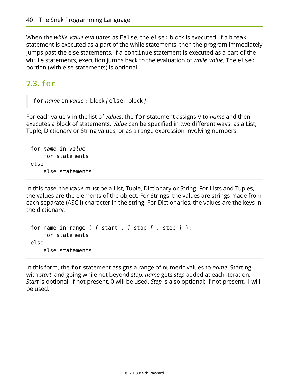When the *while\_value* evaluates as False, the else: block is executed. If a break statement is executed as a part of the while statements, then the program immediately jumps past the else statements. If a continue statement is executed as a part of the while statements, execution jumps back to the evaluation of *while\_value*. The else: portion (with else statements) is optional.

## **7.3.** for

```
for name in value : block [ else: block ]
```
For each value v in the list of *values*, the for statement assigns v to *name* and then executes a block of statements. *Value* can be specified in two different ways: as a List, Tuple, Dictionary or String values, or as a range expression involving numbers:

```
for name in value:
      for statements
else:
      else statements
```
In this case, the *value* must be a List, Tuple, Dictionary or String. For Lists and Tuples, the values are the elements of the object. For Strings, the values are strings made from each separate (ASCII) character in the string. For Dictionaries, the values are the keys in the dictionary.

```
for name in range ( [ start , ] stop [ , step ] ):
      for statements
else:
      else statements
```
In this form, the for statement assigns a range of numeric values to *name*. Starting with *start*, and going while not beyond *stop*, *name* gets *step* added at each iteration. *Start* is optional; if not present, 0 will be used. *Step* is also optional; if not present, 1 will be used.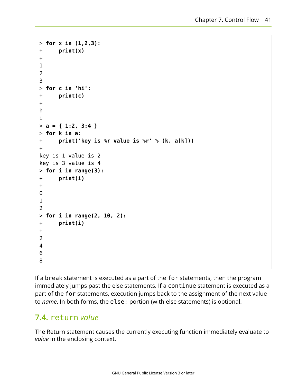```
> for x in (1,2,3):
+ print(x)
+
1
2
3
> for c in 'hi':
+ print(c)
+h
i
> a = { 1:2, 3:4 }
> for k in a:
+ print('key is %r value is %r' % (k, a[k]))
+
key is 1 value is 2
key is 3 value is 4
> for i in range(3):
+ print(i)
+
\Theta1
2
> for i in range(2, 10, 2):
+ print(i)
+
2
4
6
8
```
If a break statement is executed as a part of the for statements, then the program immediately jumps past the else statements. If a continue statement is executed as a part of the for statements, execution jumps back to the assignment of the next value to *name*. In both forms, the else: portion (with else statements) is optional.

## **7.4.** return *value*

The Return statement causes the currently executing function immediately evaluate to *value* in the enclosing context.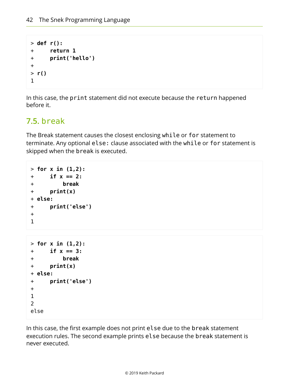```
> def r():
+ return 1
+ print('hello')
+
> r()
1
```
In this case, the print statement did not execute because the return happened before it.

## **7.5.** break

The Break statement causes the closest enclosing while or for statement to terminate. Any optional else: clause associated with the while or for statement is skipped when the break is executed.

```
> for x in (1,2):
+ if x == 2:
+ break
+ print(x)
+ else:
+ print('else')
+
1
```

```
> for x in (1,2):
+ if x == 3:
+ break
+ print(x)
+ else:
+ print('else')
+
1
2
else
```
In this case, the first example does not print else due to the break statement execution rules. The second example prints else because the break statement is never executed.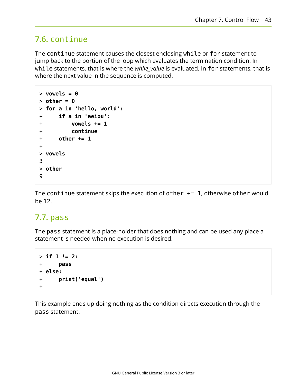# **7.6.** continue

The continue statement causes the closest enclosing while or for statement to jump back to the portion of the loop which evaluates the termination condition. In while statements, that is where the *while\_value* is evaluated. In for statements, that is where the next value in the sequence is computed.

```
> vowels = 0
> other = 0
> for a in 'hello, world':
+ if a in 'aeiou':
+ vowels += 1
+ continue
+ other += 1
+
> vowels
3
> other
9
```
The continue statement skips the execution of other  $+= 1$ , otherwise other would be 12.

# **7.7.** pass

The pass statement is a place-holder that does nothing and can be used any place a statement is needed when no execution is desired.

```
> if 1 != 2:
+ pass
+ else:
+ print('equal')
+
```
This example ends up doing nothing as the condition directs execution through the pass statement.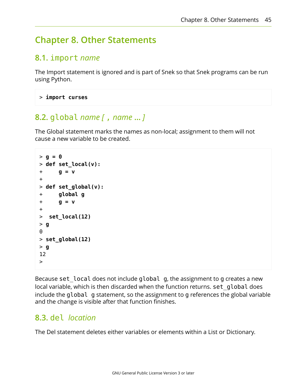# **Chapter 8. Other Statements**

### **8.1.** import *name*

The Import statement is ignored and is part of Snek so that Snek programs can be run using Python.

> **import curses**

## **8.2.** global *name [* , *name* **…** *]*

The Global statement marks the names as non-local; assignment to them will not cause a new variable to be created.

```
> g = 0> def set_local(v):
+ g = v
+
> def set_global(v):
+ global g
+ g = v
+
> set_local(12)
> g
\Theta> set_global(12)
> g
12
>
```
Because set local does not include global g, the assignment to g creates a new local variable, which is then discarded when the function returns. set global does include the global g statement, so the assignment to g references the global variable and the change is visible after that function finishes.

## **8.3.** del*location*

The Del statement deletes either variables or elements within a List or Dictionary.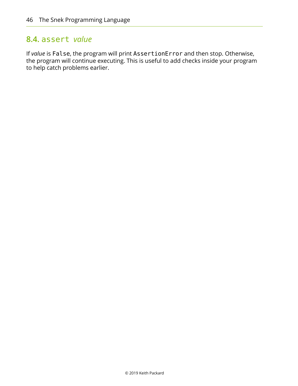## **8.4.** assert*value*

If *value* is False, the program will print AssertionError and then stop. Otherwise, the program will continue executing. This is useful to add checks inside your program to help catch problems earlier.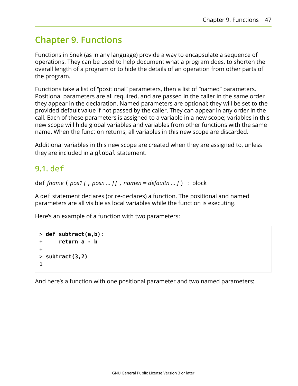# **Chapter 9. Functions**

Functions in Snek (as in any language) provide a way to encapsulate a sequence of operations. They can be used to help document what a program does, to shorten the overall length of a program or to hide the details of an operation from other parts of the program.

Functions take a list of "positional" parameters, then a list of "named" parameters. Positional parameters are all required, and are passed in the caller in the same order they appear in the declaration. Named parameters are optional; they will be set to the provided default value if not passed by the caller. They can appear in any order in the call. Each of these parameters is assigned to a variable in a new scope; variables in this new scope will hide global variables and variables from other functions with the same name. When the function returns, all variables in this new scope are discarded.

Additional variables in this new scope are created when they are assigned to, unless they are included in a global statement.

# **9.1.** def

```
def fname ( pos1 [ , posn … ] [ , namen = defaultn … ] ) : block
```
A def statement declares (or re-declares) a function. The positional and named parameters are all visible as local variables while the function is executing.

Here's an example of a function with two parameters:

```
> def subtract(a,b):
+ return a - b
+
> subtract(3,2)
1
```
And here's a function with one positional parameter and two named parameters: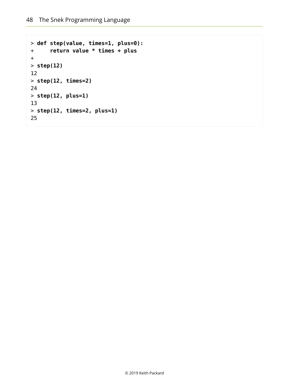```
> def step(value, times=1, plus=0):
+ return value * times + plus
+
> step(12)
12
> step(12, times=2)
24
> step(12, plus=1)
13
> step(12, times=2, plus=1)
25
```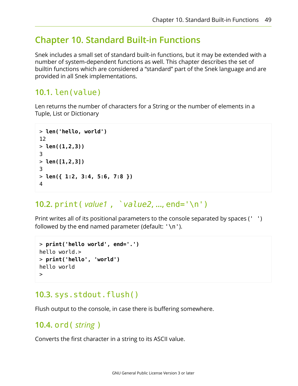# **Chapter 10. Standard Built-in Functions**

Snek includes a small set of standard built-in functions, but it may be extended with a number of system-dependent functions as well. This chapter describes the set of builtin functions which are considered a "standard" part of the Snek language and are provided in all Snek implementations.

## **10.1.** len(value)

Len returns the number of characters for a String or the number of elements in a Tuple, List or Dictionary

```
> len('hello, world')
12
> len((1,2,3))
3
> len([1,2,3])
3
> len({ 1:2, 3:4, 5:6, 7:8 })
4
```
## **10.2.** print( *value1* , `*value2***, …,** end='\n')

Print writes all of its positional parameters to the console separated by spaces (' ') followed by the end named parameter (default:  $\ln$ ).

```
> print('hello world', end='.')
hello world.>
> print('hello', 'world')
hello world
>
```
# **10.3.** sys.stdout.flush()

Flush output to the console, in case there is buffering somewhere.

## **10.4.** ord( *string* )

Converts the first character in a string to its ASCII value.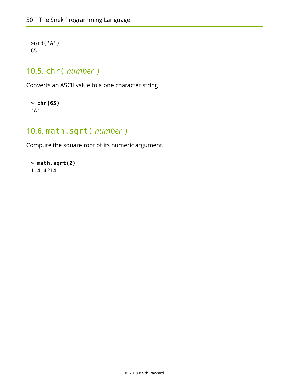```
>ord('A')
65
```
# **10.5.** chr( *number* )

Converts an ASCII value to a one character string.

> **chr(65)** 'A'

# **10.6.** math.sqrt( *number* )

Compute the square root of its numeric argument.

> **math.sqrt(2)** 1.414214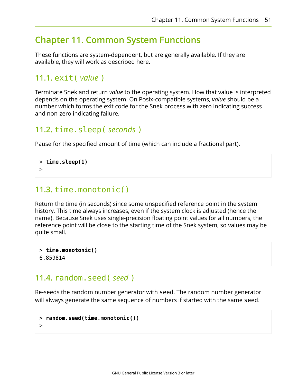# **Chapter 11. Common System Functions**

These functions are system-dependent, but are generally available. If they are available, they will work as described here.

## **11.1.** exit( *value* )

Terminate Snek and return *value* to the operating system. How that value is interpreted depends on the operating system. On Posix-compatible systems, *value* should be a number which forms the exit code for the Snek process with zero indicating success and non-zero indicating failure.

## **11.2.** time.sleep( *seconds* )

Pause for the specified amount of time (which can include a fractional part).

```
> time.sleep(1)
>
```
## **11.3.** time.monotonic()

Return the time (in seconds) since some unspecified reference point in the system history. This time always increases, even if the system clock is adjusted (hence the name). Because Snek uses single-precision floating point values for all numbers, the reference point will be close to the starting time of the Snek system, so values may be quite small.

```
> time.monotonic()
6.859814
```
## **11.4.** random.seed( *seed* )

Re-seeds the random number generator with seed. The random number generator will always generate the same sequence of numbers if started with the same seed.

```
> random.seed(time.monotonic())
```
>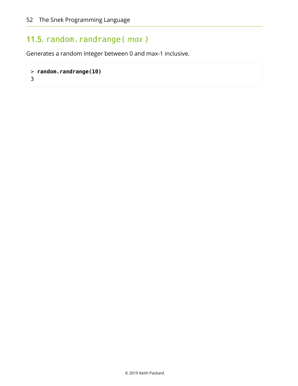# **11.5.** random.randrange( *max* )

Generates a random integer between 0 and max-1 inclusive.

### > **random.randrange(10)**

3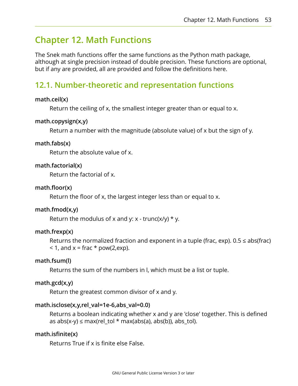# **Chapter 12. Math Functions**

The Snek math functions offer the same functions as the Python math package, although at single precision instead of double precision. These functions are optional, but if any are provided, all are provided and follow the definitions here.

## **12.1. Number-theoretic and representation functions**

#### **math.ceil(x)**

Return the ceiling of x, the smallest integer greater than or equal to x.

#### **math.copysign(x,y)**

Return a number with the magnitude (absolute value) of x but the sign of y.

#### **math.fabs(x)**

Return the absolute value of x.

#### **math.factorial(x)**

Return the factorial of x.

#### **math.floor(x)**

Return the floor of x, the largest integer less than or equal to x.

### **math.fmod(x,y)**

Return the modulus of x and y: x - trunc(x/y)  $*$  y.

### **math.frexp(x)**

Returns the normalized fraction and exponent in a tuple (frac, exp).  $0.5 \leq abs(frac)$  $<$  1, and  $x =$  frac  $*$  pow(2,exp).

### **math.fsum(l)**

Returns the sum of the numbers in l, which must be a list or tuple.

#### **math.gcd(x,y)**

Return the greatest common divisor of x and y.

### **math.isclose(x,y,rel\_val=1e-6,abs\_val=0.0)**

Returns a boolean indicating whether x and y are 'close' together. This is defined as abs(x-y)  $\leq$  max(rel\_tol \* max(abs(a), abs(b)), abs\_tol).

#### **math.isfinite(x)**

Returns True if x is finite else False.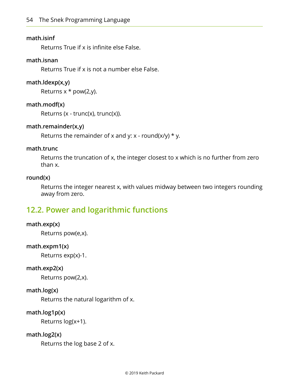#### **math.isinf**

Returns True if x is infinite else False.

#### **math.isnan**

Returns True if x is not a number else False.

#### **math.ldexp(x,y)**

Returns  $x * pow(2,y)$ .

#### **math.modf(x)**

Returns ( $x - \text{trunc}(x)$ , trunc( $x$ )).

#### **math.remainder(x,y)**

Returns the remainder of x and y: x - round(x/y)  $*$  y.

#### **math.trunc**

Returns the truncation of x, the integer closest to x which is no further from zero than x.

#### **round(x)**

Returns the integer nearest x, with values midway between two integers rounding away from zero.

## **12.2. Power and logarithmic functions**

#### **math.exp(x)**

Returns pow(e,x).

#### **math.expm1(x)**

Returns exp(x)-1.

#### **math.exp2(x)**

Returns pow(2,x).

#### **math.log(x)**

Returns the natural logarithm of x.

**math.log1p(x)**

Returns log(x+1).

#### **math.log2(x)**

Returns the log base 2 of x.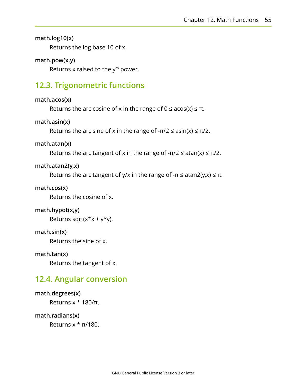#### **math.log10(x)**

Returns the log base 10 of x.

#### **math.pow(x,y)**

Returns  $x$  raised to the  $y<sup>th</sup>$  power.

### **12.3. Trigonometric functions**

#### **math.acos(x)**

Returns the arc cosine of x in the range of  $0 \leq a\cos(x) \leq \pi$ .

#### **math.asin(x)**

Returns the arc sine of x in the range of  $-\pi/2 \leq \text{asin}(x) \leq \pi/2$ .

#### **math.atan(x)**

Returns the arc tangent of x in the range of  $-\pi/2 \leq \frac{\pi}{2}$ .

#### **math.atan2(y,x)**

Returns the arc tangent of y/x in the range of  $-\pi \leq \frac{1}{2}$  atan2(y,x)  $\leq \pi$ .

#### **math.cos(x)**

Returns the cosine of x.

#### **math.hypot(x,y)**

Returns sqrt( $x^*x + y^*y$ ).

#### **math.sin(x)**

Returns the sine of x.

#### **math.tan(x)**

Returns the tangent of x.

### **12.4. Angular conversion**

#### **math.degrees(x)**

Returns x \* 180/π.

#### **math.radians(x)**

Returns x \* π/180.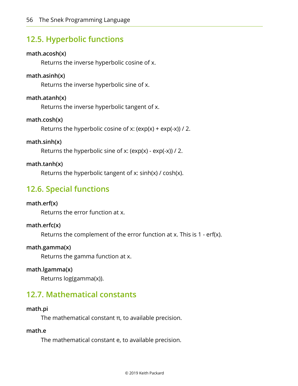## **12.5. Hyperbolic functions**

#### **math.acosh(x)**

Returns the inverse hyperbolic cosine of x.

#### **math.asinh(x)**

Returns the inverse hyperbolic sine of x.

#### **math.atanh(x)**

Returns the inverse hyperbolic tangent of x.

#### **math.cosh(x)**

Returns the hyperbolic cosine of x:  $(exp(x) + exp(-x)) / 2$ .

### **math.sinh(x)**

Returns the hyperbolic sine of x:  $(exp(x) - exp(-x)) / 2$ .

#### **math.tanh(x)**

Returns the hyperbolic tangent of x: sinh(x) / cosh(x).

## **12.6. Special functions**

#### **math.erf(x)**

Returns the error function at x.

#### **math.erfc(x)**

Returns the complement of the error function at x. This is 1 - erf(x).

#### **math.gamma(x)**

Returns the gamma function at x.

#### **math.lgamma(x)**

Returns log(gamma(x)).

## **12.7. Mathematical constants**

#### **math.pi**

The mathematical constant π, to available precision.

#### **math.e**

The mathematical constant e, to available precision.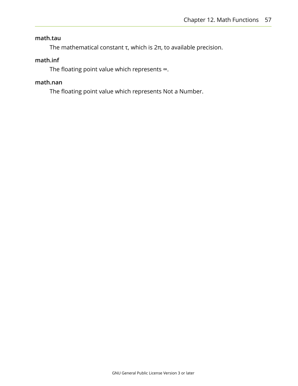### **math.tau**

The mathematical constant τ, which is 2π, to available precision.

### **math.inf**

The floating point value which represents ∞.

### **math.nan**

The floating point value which represents Not a Number.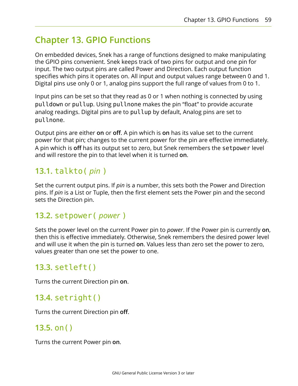# **Chapter 13. GPIO Functions**

On embedded devices, Snek has a range of functions designed to make manipulating the GPIO pins convenient. Snek keeps track of two pins for output and one pin for input. The two output pins are called Power and Direction. Each output function specifies which pins it operates on. All input and output values range between 0 and 1. Digital pins use only 0 or 1, analog pins support the full range of values from 0 to 1.

Input pins can be set so that they read as 0 or 1 when nothing is connected by using pulldown or pullup. Using pullnone makes the pin "float" to provide accurate analog readings. Digital pins are to pullup by default, Analog pins are set to pullnone.

Output pins are either **on** or **off**. A pin which is **on** has its value set to the current power for that pin; changes to the current power for the pin are effective immediately. A pin which is **off** has its output set to zero, but Snek remembers the setpower level and will restore the pin to that level when it is turned **on**.

# **13.1.** talkto( *pin* )

Set the current output pins. If *pin* is a number, this sets both the Power and Direction pins. If *pin* is a List or Tuple, then the first element sets the Power pin and the second sets the Direction pin.

## **13.2.** setpower( *power* )

Sets the power level on the current Power pin to *power*. If the Power pin is currently **on**, then this is effective immediately. Otherwise, Snek remembers the desired power level and will use it when the pin is turned **on**. Values less than zero set the power to zero, values greater than one set the power to one.

# **13.3.** setleft()

Turns the current Direction pin **on**.

# **13.4.** setright()

Turns the current Direction pin **off**.

# **13.5.** on()

Turns the current Power pin **on**.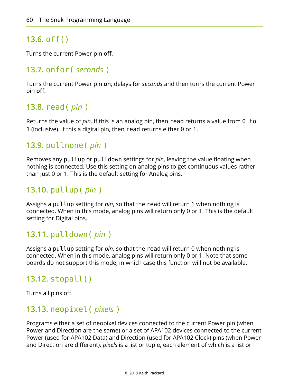## **13.6.** off()

Turns the current Power pin **off**.

### **13.7.** onfor( *seconds* )

Turns the current Power pin **on**, delays for *seconds* and then turns the current Power pin **off**.

## **13.8.** read( *pin* )

Returns the value of *pin*. If this is an analog pin, then read returns a value from 0 to 1 (inclusive). If this a digital pin, then read returns either 0 or 1.

## **13.9.** pullnone( *pin* )

Removes any pullup or pulldown settings for *pin*, leaving the value floating when nothing is connected. Use this setting on analog pins to get continuous values rather than just 0 or 1. This is the default setting for Analog pins.

### **13.10.** pullup( *pin* )

Assigns a pullup setting for *pin*, so that the read will return 1 when nothing is connected. When in this mode, analog pins will return only 0 or 1. This is the default setting for Digital pins.

### **13.11.** pulldown( *pin* )

Assigns a pullup setting for *pin*, so that the read will return 0 when nothing is connected. When in this mode, analog pins will return only 0 or 1. Note that some boards do not support this mode, in which case this function will not be available.

## **13.12.** stopall()

Turns all pins off.

## **13.13.** neopixel( *pixels* )

Programs either a set of neopixel devices connected to the current Power pin (when Power and Direction are the same) or a set of APA102 devices connected to the current Power (used for APA102 Data) and Direction (used for APA102 Clock) pins (when Power and Direction are different). *pixels* is a list or tuple, each element of which is a list or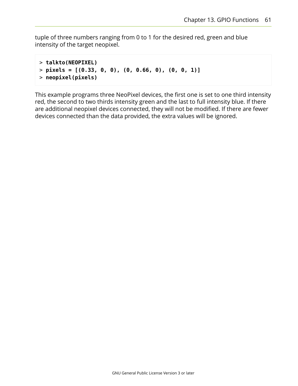tuple of three numbers ranging from 0 to 1 for the desired red, green and blue intensity of the target neopixel.

```
> talkto(NEOPIXEL)
> pixels = [(0.33, 0, 0), (0, 0.66, 0), (0, 0, 1)]
> neopixel(pixels)
```
This example programs three NeoPixel devices, the first one is set to one third intensity red, the second to two thirds intensity green and the last to full intensity blue. If there are additional neopixel devices connected, they will not be modified. If there are fewer devices connected than the data provided, the extra values will be ignored.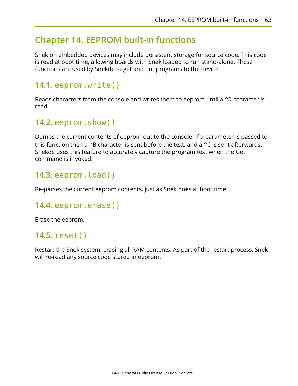# **Chapter 14. EEPROM built-in functions**

Snek on embedded devices may include persistent storage for source code. This code is read at boot time, allowing boards with Snek loaded to run stand-alone. These functions are used by Snekde to get and put programs to the device.

### **14.1.** eeprom.write()

Reads characters from the console and writes them to eeprom until a ^D character is read.

### **14.2.** eeprom.show()

Dumps the current contents of eeprom out to the console. If a parameter is passed to this function then a  $\Delta$ B character is sent before the text, and a  $\Delta$ C is sent afterwards. Snekde uses this feature to accurately capture the program text when the Get command is invoked.

## **14.3.** eeprom.load()

Re-parses the current eeprom contents, just as Snek does at boot time.

## **14.4.** eeprom.erase()

Erase the eeprom.

## **14.5.** reset()

Restart the Snek system, erasing all RAM contents. As part of the restart process, Snek will re-read any source code stored in eeprom.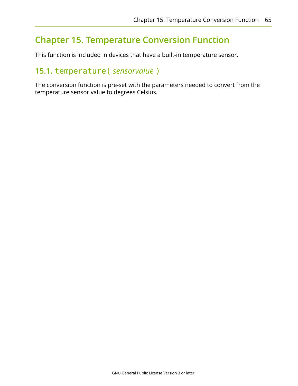# **Chapter 15. Temperature Conversion Function**

This function is included in devices that have a built-in temperature sensor.

## **15.1.** temperature( *sensorvalue* )

The conversion function is pre-set with the parameters needed to convert from the temperature sensor value to degrees Celsius.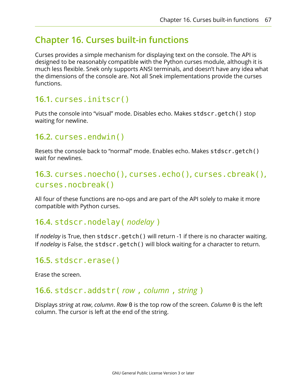# **Chapter 16. Curses built-in functions**

Curses provides a simple mechanism for displaying text on the console. The API is designed to be reasonably compatible with the Python curses module, although it is much less flexible. Snek only supports ANSI terminals, and doesn't have any idea what the dimensions of the console are. Not all Snek implementations provide the curses functions.

## **16.1.** curses.initscr()

Puts the console into "visual" mode. Disables echo. Makes stdscr.getch() stop waiting for newline.

## **16.2.** curses.endwin()

Resets the console back to "normal" mode. Enables echo. Makes stdscr.getch() wait for newlines.

# **16.3.** curses.noecho()**,** curses.echo()**,** curses.cbreak()**,** curses.nocbreak()

All four of these functions are no-ops and are part of the API solely to make it more compatible with Python curses.

## **16.4.** stdscr.nodelay( *nodelay* )

If *nodelay* is True, then stdscr.getch() will return -1 if there is no character waiting. If *nodelay* is False, the stdscr.getch() will block waiting for a character to return.

## **16.5.** stdscr.erase()

Erase the screen.

## **16.6.** stdscr.addstr( *row* , *column* , *string* )

Displays *string* at *row*, *column*. *Row* 0 is the top row of the screen. *Column* 0 is the left column. The cursor is left at the end of the string.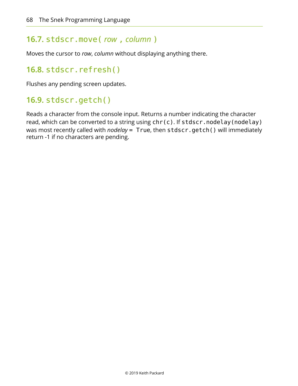## **16.7.** stdscr.move( *row* , *column* )

Moves the cursor to *row*, *column* without displaying anything there.

## **16.8.** stdscr.refresh()

Flushes any pending screen updates.

# **16.9.** stdscr.getch()

Reads a character from the console input. Returns a number indicating the character read, which can be converted to a string using  $chr(c)$ . If stdscr.nodelay(nodelay) was most recently called with *nodelay* = True, then stdscr.getch() will immediately return -1 if no characters are pending.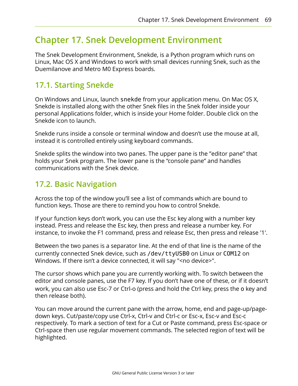# **Chapter 17. Snek Development Environment**

The Snek Development Environment, Snekde, is a Python program which runs on Linux, Mac OS X and Windows to work with small devices running Snek, such as the Duemilanove and Metro M0 Express boards.

# **17.1. Starting Snekde**

On Windows and Linux, launch snekde from your application menu. On Mac OS X, Snekde is installed along with the other Snek files in the Snek folder inside your personal Applications folder, which is inside your Home folder. Double click on the Snekde icon to launch.

Snekde runs inside a console or terminal window and doesn't use the mouse at all, instead it is controlled entirely using keyboard commands.

Snekde splits the window into two panes. The upper pane is the "editor pane" that holds your Snek program. The lower pane is the "console pane" and handles communications with the Snek device.

## **17.2. Basic Navigation**

Across the top of the window you'll see a list of commands which are bound to function keys. Those are there to remind you how to control Snekde.

If your function keys don't work, you can use the Esc key along with a number key instead. Press and release the Esc key, then press and release a number key. For instance, to invoke the F1 command, press and release Esc, then press and release '1'.

Between the two panes is a separator line. At the end of that line is the name of the currently connected Snek device, such as /dev/ttyUSB0 on Linux or COM12 on Windows. If there isn't a device connected, it will say "<no device>".

The cursor shows which pane you are currently working with. To switch between the editor and console panes, use the F7 key. If you don't have one of these, or if it doesn't work, you can also use Esc-7 or Ctrl-o (press and hold the Ctrl key, press the o key and then release both).

You can move around the current pane with the arrow, home, end and page-up/pagedown keys. Cut/paste/copy use Ctrl-x, Ctrl-v and Ctrl-c or Esc-x, Esc-v and Esc-c respectively. To mark a section of text for a Cut or Paste command, press Esc-space or Ctrl-space then use regular movement commands. The selected region of text will be highlighted.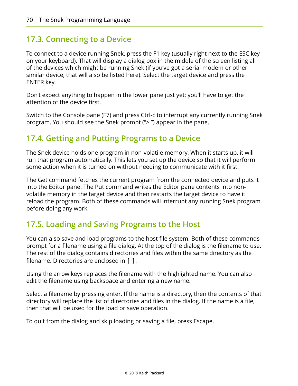## **17.3. Connecting to a Device**

To connect to a device running Snek, press the F1 key (usually right next to the ESC key on your keyboard). That will display a dialog box in the middle of the screen listing all of the devices which might be running Snek (if you've got a serial modem or other similar device, that will also be listed here). Select the target device and press the ENTER key.

Don't expect anything to happen in the lower pane just yet; you'll have to get the attention of the device first.

Switch to the Console pane (F7) and press Ctrl-c to interrupt any currently running Snek program. You should see the Snek prompt ("> ") appear in the pane.

# **17.4. Getting and Putting Programs to a Device**

The Snek device holds one program in non-volatile memory. When it starts up, it will run that program automatically. This lets you set up the device so that it will perform some action when it is turned on without needing to communicate with it first.

The Get command fetches the current program from the connected device and puts it into the Editor pane. The Put command writes the Editor pane contents into nonvolatile memory in the target device and then restarts the target device to have it reload the program. Both of these commands will interrupt any running Snek program before doing any work.

# **17.5. Loading and Saving Programs to the Host**

You can also save and load programs to the host file system. Both of these commands prompt for a filename using a file dialog. At the top of the dialog is the filename to use. The rest of the dialog contains directories and files within the same directory as the filename. Directories are enclosed in [ ].

Using the arrow keys replaces the filename with the highlighted name. You can also edit the filename using backspace and entering a new name.

Select a filename by pressing enter. If the name is a directory, then the contents of that directory will replace the list of directories and files in the dialog. If the name is a file, then that will be used for the load or save operation.

To quit from the dialog and skip loading or saving a file, press Escape.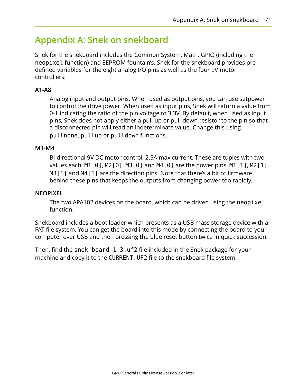# **Appendix A: Snek on snekboard**

Snek for the snekboard includes the Common System, Math, GPIO (including the neopixel function) and EEPROM fountain's. Snek for the snekboard provides predefined variables for the eight analog I/O pins as well as the four 9V motor controllers:

### **A1-A8**

Analog input and output pins. When used as output pins, you can use setpower to control the drive power. When used as input pins, Snek will return a value from 0-1 indicating the ratio of the pin voltage to 3.3V. By default, when used as input pins, Snek does not apply either a pull-up or pull-down resistor to the pin so that a disconnected pin will read an indeterminate value. Change this using pullnone, pullup or pulldown functions.

### **M1-M4**

Bi-directional 9V DC motor control, 2.5A max current. These are tuples with two values each. M1 $[0]$ , M2 $[0]$ , M3 $[0]$  and M4 $[0]$  are the power pins. M1 $[1]$ , M2 $[1]$ , M3[1] and M4[1] are the direction pins. Note that there's a bit of firmware behind these pins that keeps the outputs from changing power too rapidly.

#### **NEOPIXEL**

The two APA102 devices on the board, which can be driven using the neopixel function.

Snekboard includes a boot loader which presents as a USB mass storage device with a FAT file system. You can get the board into this mode by connecting the board to your computer over USB and then pressing the blue reset button twice in quick succession.

Then, find the snek-board-1.3.uf2 file included in the Snek package for your machine and copy it to the CURRENT.UF2 file to the snekboard file system.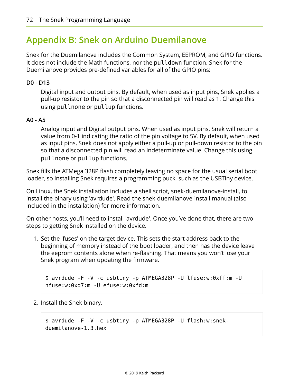# **Appendix B: Snek on Arduino Duemilanove**

Snek for the Duemilanove includes the Common System, EEPROM, and GPIO functions. It does not include the Math functions, nor the pulldown function. Snek for the Duemilanove provides pre-defined variables for all of the GPIO pins:

#### **D0 - D13**

Digital input and output pins. By default, when used as input pins, Snek applies a pull-up resistor to the pin so that a disconnected pin will read as 1. Change this using pullnone or pullup functions.

#### **A0 - A5**

Analog input and Digital output pins. When used as input pins, Snek will return a value from 0-1 indicating the ratio of the pin voltage to 5V. By default, when used as input pins, Snek does not apply either a pull-up or pull-down resistor to the pin so that a disconnected pin will read an indeterminate value. Change this using pullnone or pullup functions.

Snek fills the ATMega 328P flash completely leaving no space for the usual serial boot loader, so installing Snek requires a programming puck, such as the USBTiny device.

On Linux, the Snek installation includes a shell script, snek-duemilanove-install, to install the binary using 'avrdude'. Read the snek-duemilanove-install manual (also included in the installation) for more information.

On other hosts, you'll need to install 'avrdude'. Once you've done that, there are two steps to getting Snek installed on the device.

1. Set the 'fuses' on the target device. This sets the start address back to the beginning of memory instead of the boot loader, and then has the device leave the eeprom contents alone when re-flashing. That means you won't lose your Snek program when updating the firmware.

\$ avrdude -F -V -c usbtiny -p ATMEGA328P -U lfuse:w:0xff:m -U hfuse:w:0xd7:m -U efuse:w:0xfd:m

2. Install the Snek binary.

```
$ avrdude -F -V -c usbtiny -p ATMEGA328P -U flash:w:snek-
duemilanove-1.3.hex
```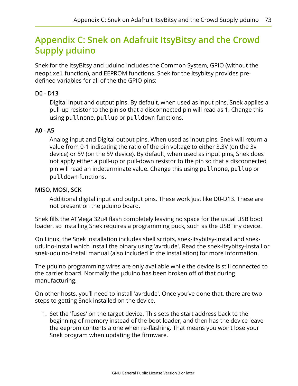# **Appendix C: Snek on Adafruit ItsyBitsy and the Crowd Supply µduino**

Snek for the ItsyBitsy and µduino includes the Common System, GPIO (without the neopixel function), and EEPROM functions. Snek for the itsybitsy provides predefined variables for all of the the GPIO pins:

### **D0 - D13**

Digital input and output pins. By default, when used as input pins, Snek applies a pull-up resistor to the pin so that a disconnected pin will read as 1. Change this using pullnone, pullup or pulldown functions.

### **A0 - A5**

Analog input and Digital output pins. When used as input pins, Snek will return a value from 0-1 indicating the ratio of the pin voltage to either 3.3V (on the 3v device) or 5V (on the 5V device). By default, when used as input pins, Snek does not apply either a pull-up or pull-down resistor to the pin so that a disconnected pin will read an indeterminate value. Change this using pullnone, pullup or pulldown functions.

### **MISO, MOSI, SCK**

Additional digital input and output pins. These work just like D0-D13. These are not present on the µduino board.

Snek fills the ATMega 32u4 flash completely leaving no space for the usual USB boot loader, so installing Snek requires a programming puck, such as the USBTiny device.

On Linux, the Snek installation includes shell scripts, snek-itsybitsy-install and snekuduino-install which install the binary using 'avrdude'. Read the snek-itsybitsy-install or snek-uduino-install manual (also included in the installation) for more information.

The µduino programming wires are only available while the device is still connected to the carrier board. Normally the µduino has been broken off of that during manufacturing.

On other hosts, you'll need to install 'avrdude'. Once you've done that, there are two steps to getting Snek installed on the device.

1. Set the 'fuses' on the target device. This sets the start address back to the beginning of memory instead of the boot loader, and then has the device leave the eeprom contents alone when re-flashing. That means you won't lose your Snek program when updating the firmware.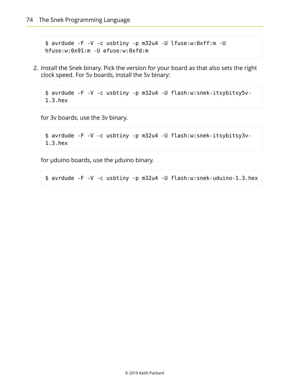\$ avrdude -F -V -c usbtiny -p m32u4 -U lfuse:w:0xff:m -U hfuse:w:0x91:m -U efuse:w:0xfd:m

2. Install the Snek binary. Pick the version for your board as that also sets the right clock speed. For 5v boards, install the 5v binary:

```
$ avrdude -F -V -c usbtiny -p m32u4 -U flash:w:snek-itsybitsy5v-
1.3.hex
```
for 3v boards, use the 3v binary.

```
$ avrdude -F -V -c usbtiny -p m32u4 -U flash:w:snek-itsybitsy3v-
1.3.hex
```
for µduino boards, use the µduino binary.

```
$ avrdude -F -V -c usbtiny -p m32u4 -U flash:w:snek-uduino-1.3.hex
```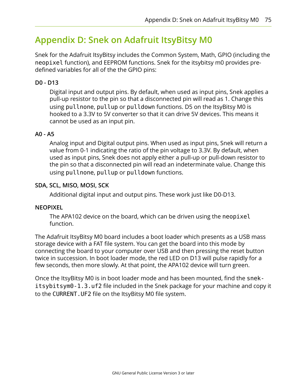# **Appendix D: Snek on Adafruit ItsyBitsy M0**

Snek for the Adafruit ItsyBitsy includes the Common System, Math, GPIO (including the neopixel function), and EEPROM functions. Snek for the itsybitsy m0 provides predefined variables for all of the the GPIO pins:

#### **D0 - D13**

Digital input and output pins. By default, when used as input pins, Snek applies a pull-up resistor to the pin so that a disconnected pin will read as 1. Change this using pullnone, pullup or pulldown functions. D5 on the ItsyBitsy M0 is hooked to a 3.3V to 5V converter so that it can drive 5V devices. This means it cannot be used as an input pin.

#### **A0 - A5**

Analog input and Digital output pins. When used as input pins, Snek will return a value from 0-1 indicating the ratio of the pin voltage to 3.3V. By default, when used as input pins, Snek does not apply either a pull-up or pull-down resistor to the pin so that a disconnected pin will read an indeterminate value. Change this using pullnone, pullup or pulldown functions.

#### **SDA, SCL, MISO, MOSI, SCK**

Additional digital input and output pins. These work just like D0-D13.

#### **NEOPIXEL**

The APA102 device on the board, which can be driven using the neopixel function.

The Adafruit ItsyBitsy M0 board includes a boot loader which presents as a USB mass storage device with a FAT file system. You can get the board into this mode by connecting the board to your computer over USB and then pressing the reset button twice in succession. In boot loader mode, the red LED on D13 will pulse rapidly for a few seconds, then more slowly. At that point, the APA102 device will turn green.

Once the ItsyBitsy M0 is in boot loader mode and has been mounted, find the snekitsybitsym0-1.3.uf2 file included in the Snek package for your machine and copy it to the CURRENT.UF2 file on the ItsyBitsy M0 file system.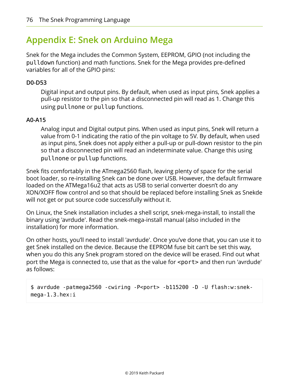# **Appendix E: Snek on Arduino Mega**

Snek for the Mega includes the Common System, EEPROM, GPIO (not including the pulldown function) and math functions. Snek for the Mega provides pre-defined variables for all of the GPIO pins:

#### **D0-D53**

Digital input and output pins. By default, when used as input pins, Snek applies a pull-up resistor to the pin so that a disconnected pin will read as 1. Change this using pullnone or pullup functions.

#### **A0-A15**

Analog input and Digital output pins. When used as input pins, Snek will return a value from 0-1 indicating the ratio of the pin voltage to 5V. By default, when used as input pins, Snek does not apply either a pull-up or pull-down resistor to the pin so that a disconnected pin will read an indeterminate value. Change this using pullnone or pullup functions.

Snek fits comfortably in the ATmega2560 flash, leaving plenty of space for the serial boot loader, so re-installing Snek can be done over USB. However, the default firmware loaded on the ATMega16u2 that acts as USB to serial converter doesn't do any XON/XOFF flow control and so that should be replaced before installing Snek as Snekde will not get or put source code successfully without it.

On Linux, the Snek installation includes a shell script, snek-mega-install, to install the binary using 'avrdude'. Read the snek-mega-install manual (also included in the installation) for more information.

On other hosts, you'll need to install 'avrdude'. Once you've done that, you can use it to get Snek installed on the device. Because the EEPROM fuse bit can't be set this way, when you do this any Snek program stored on the device will be erased. Find out what port the Mega is connected to, use that as the value for <port> and then run 'avrdude' as follows:

\$ avrdude -patmega2560 -cwiring -P<port> -b115200 -D -U flash:w:snekmega-1.3.hex:i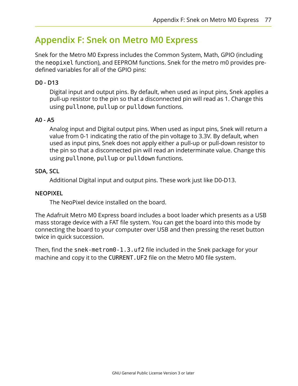# **Appendix F: Snek on Metro M0 Express**

Snek for the Metro M0 Express includes the Common System, Math, GPIO (including the neopixel function), and EEPROM functions. Snek for the metro m0 provides predefined variables for all of the GPIO pins:

#### **D0 - D13**

Digital input and output pins. By default, when used as input pins, Snek applies a pull-up resistor to the pin so that a disconnected pin will read as 1. Change this using pullnone, pullup or pulldown functions.

#### **A0 - A5**

Analog input and Digital output pins. When used as input pins, Snek will return a value from 0-1 indicating the ratio of the pin voltage to 3.3V. By default, when used as input pins, Snek does not apply either a pull-up or pull-down resistor to the pin so that a disconnected pin will read an indeterminate value. Change this using pullnone, pullup or pulldown functions.

#### **SDA, SCL**

Additional Digital input and output pins. These work just like D0-D13.

#### **NEOPIXEL**

The NeoPixel device installed on the board.

The Adafruit Metro M0 Express board includes a boot loader which presents as a USB mass storage device with a FAT file system. You can get the board into this mode by connecting the board to your computer over USB and then pressing the reset button twice in quick succession.

Then, find the snek-metrom0-1.3.uf2 file included in the Snek package for your machine and copy it to the CURRENT.UF2 file on the Metro M0 file system.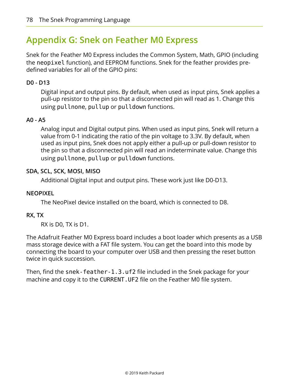# **Appendix G: Snek on Feather M0 Express**

Snek for the Feather M0 Express includes the Common System, Math, GPIO (including the neopixel function), and EEPROM functions. Snek for the feather provides predefined variables for all of the GPIO pins:

#### **D0 - D13**

Digital input and output pins. By default, when used as input pins, Snek applies a pull-up resistor to the pin so that a disconnected pin will read as 1. Change this using pullnone, pullup or pulldown functions.

#### **A0 - A5**

Analog input and Digital output pins. When used as input pins, Snek will return a value from 0-1 indicating the ratio of the pin voltage to 3.3V. By default, when used as input pins, Snek does not apply either a pull-up or pull-down resistor to the pin so that a disconnected pin will read an indeterminate value. Change this using pullnone, pullup or pulldown functions.

#### **SDA, SCL, SCK, MOSI, MISO**

Additional Digital input and output pins. These work just like D0-D13.

#### **NEOPIXEL**

The NeoPixel device installed on the board, which is connected to D8.

#### **RX, TX**

RX is D0, TX is D1.

The Adafruit Feather M0 Express board includes a boot loader which presents as a USB mass storage device with a FAT file system. You can get the board into this mode by connecting the board to your computer over USB and then pressing the reset button twice in quick succession.

Then, find the snek-feather-1.3.uf2 file included in the Snek package for your machine and copy it to the CURRENT.UF2 file on the Feather M0 file system.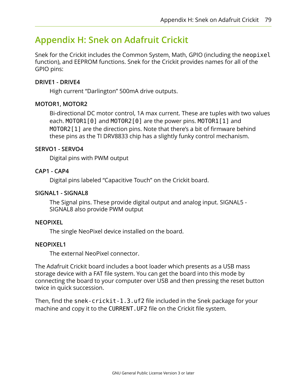# **Appendix H: Snek on Adafruit Crickit**

Snek for the Crickit includes the Common System, Math, GPIO (including the neopixel function), and EEPROM functions. Snek for the Crickit provides names for all of the GPIO pins:

#### **DRIVE1 - DRIVE4**

High current "Darlington" 500mA drive outputs.

#### **MOTOR1, MOTOR2**

Bi-directional DC motor control, 1A max current. These are tuples with two values each. MOTOR1[0] and MOTOR2[0] are the power pins. MOTOR1[1] and MOTOR2[1] are the direction pins. Note that there's a bit of firmware behind these pins as the TI DRV8833 chip has a slightly funky control mechanism.

#### **SERVO1 - SERVO4**

Digital pins with PWM output

#### **CAP1 - CAP4**

Digital pins labeled "Capacitive Touch" on the Crickit board.

#### **SIGNAL1 - SIGNAL8**

The Signal pins. These provide digital output and analog input. SIGNAL5 - SIGNAL8 also provide PWM output

#### **NEOPIXEL**

The single NeoPixel device installed on the board.

#### **NEOPIXEL1**

The external NeoPixel connector.

The Adafruit Crickit board includes a boot loader which presents as a USB mass storage device with a FAT file system. You can get the board into this mode by connecting the board to your computer over USB and then pressing the reset button twice in quick succession.

Then, find the snek-crickit-1.3.uf2 file included in the Snek package for your machine and copy it to the CURRENT.UF2 file on the Crickit file system.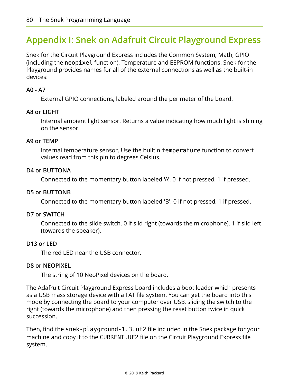# **Appendix I: Snek on Adafruit Circuit Playground Express**

Snek for the Circuit Playground Express includes the Common System, Math, GPIO (including the neopixel function), Temperature and EEPROM functions. Snek for the Playground provides names for all of the external connections as well as the built-in devices:

#### **A0 - A7**

External GPIO connections, labeled around the perimeter of the board.

#### **A8 or LIGHT**

Internal ambient light sensor. Returns a value indicating how much light is shining on the sensor.

#### **A9 or TEMP**

Internal temperature sensor. Use the builtin temperature function to convert values read from this pin to degrees Celsius.

#### **D4 or BUTTONA**

Connected to the momentary button labeled 'A'. 0 if not pressed, 1 if pressed.

#### **D5 or BUTTONB**

Connected to the momentary button labeled 'B'. 0 if not pressed, 1 if pressed.

#### **D7 or SWITCH**

Connected to the slide switch. 0 if slid right (towards the microphone), 1 if slid left (towards the speaker).

#### **D13 or LED**

The red LED near the USB connector.

#### **D8 or NEOPIXEL**

The string of 10 NeoPixel devices on the board.

The Adafruit Circuit Playground Express board includes a boot loader which presents as a USB mass storage device with a FAT file system. You can get the board into this mode by connecting the board to your computer over USB, sliding the switch to the right (towards the microphone) and then pressing the reset button twice in quick succession.

Then, find the snek-playground-1.3.uf2 file included in the Snek package for your machine and copy it to the CURRENT.UF2 file on the Circuit Playground Express file system.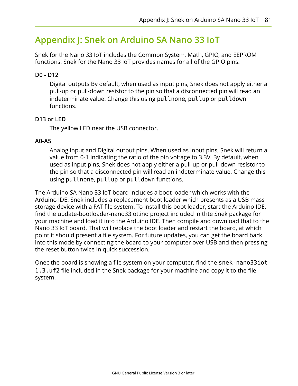# **Appendix J: Snek on Arduino SA Nano 33 IoT**

Snek for the Nano 33 IoT includes the Common System, Math, GPIO, and EEPROM functions. Snek for the Nano 33 IoT provides names for all of the GPIO pins:

#### **D0 - D12**

Digital outputs By default, when used as input pins, Snek does not apply either a pull-up or pull-down resistor to the pin so that a disconnected pin will read an indeterminate value. Change this using pullnone, pullup or pulldown functions.

#### **D13 or LED**

The yellow LED near the USB connector.

#### **A0-A5**

Analog input and Digital output pins. When used as input pins, Snek will return a value from 0-1 indicating the ratio of the pin voltage to 3.3V. By default, when used as input pins, Snek does not apply either a pull-up or pull-down resistor to the pin so that a disconnected pin will read an indeterminate value. Change this using pullnone, pullup or pulldown functions.

The Arduino SA Nano 33 IoT board includes a boot loader which works with the Arduino IDE. Snek includes a replacement boot loader which presents as a USB mass storage device with a FAT file system. To install this boot loader, start the Arduino IDE, find the update-bootloader-nano33iot.ino project included in thte Snek package for your machine and load it into the Arduino IDE. Then compile and download that to the Nano 33 IoT board. That will replace the boot loader and restart the board, at which point it should present a file system. For future updates, you can get the board back into this mode by connecting the board to your computer over USB and then pressing the reset button twice in quick succession.

Onec the board is showing a file system on your computer, find the snek-nano33iot-1.3.uf2 file included in the Snek package for your machine and copy it to the file system.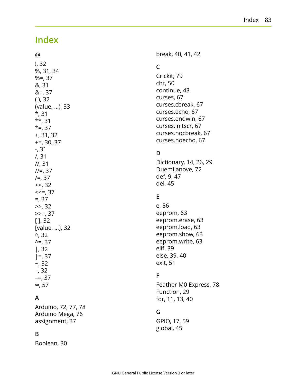# **Index**

#### **@**

!, 32 %, 31, 34  $% =$ , 37 &, 31 &=, 37 ( ), 32 (value, …), 33 \*, 31 \*\*, 31  $* =$ , 37 +, 31, 32 +=, 30, 37 -, 31 /, 31 //, 31  $//-$ , 37  $/ =$ , 37 <<, 32  $<<=$ , 37 =, 37 >>, 32  $\gg =$ , 37 [ ], 32 [value, …], 32  $^{\wedge}$ , 32  $^{\wedge}$   $=$  , 37 |, 32  $|=$ , 37  $\sim$ , 32 –, 32 –=, 37 ∞, 57

## **A**

Arduino, 72, 77, 78 Arduino Mega, 76 assignment, 37

### **B**

Boolean, 30

break, 40, 41, 42

## **C**

Crickit, 79 chr, 50 continue, 43 curses, 67 curses.cbreak, 67 curses.echo, 67 curses.endwin, 67 curses.initscr, 67 curses.nocbreak, 67 curses.noecho, 67

### **D**

Dictionary, 14, 26, 29 Duemilanove, 72 def, 9, 47 del, 45

## **E**

e, 56 eeprom, 63 eeprom.erase, 63 eeprom.load, 63 eeprom.show, 63 eeprom.write, 63 elif, 39 else, 39, 40 exit, 51

### **F**

Feather M0 Express, 78 Function, 29 for, 11, 13, 40

### **G**

GPIO, 17, 59 global, 45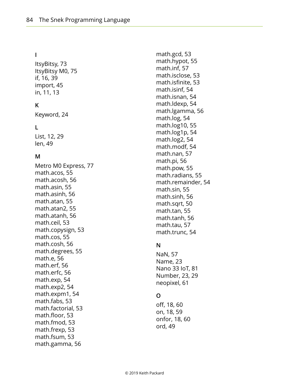#### **I**

ItsyBitsy, 73 ItsyBitsy M0, 75 if, 16, 39 import, 45 in, 11, 13

### **K**

Keyword, 24

#### **L**

List, 12, 29 len, 49

#### **M**

Metro M0 Express, 77 math.acos, 55 math.acosh, 56 math.asin, 55 math.asinh, 56 math.atan, 55 math.atan2, 55 math.atanh, 56 math.ceil, 53 math.copysign, 53 math.cos, 55 math.cosh, 56 math.degrees, 55 math.e, 56 math.erf, 56 math.erfc, 56 math.exp, 54 math.exp2, 54 math.expm1, 54 math.fabs, 53 math.factorial, 53 math.floor, 53 math.fmod, 53 math.frexp, 53 math.fsum, 53 math.gamma, 56

math.gcd, 53 math.hypot, 55 math.inf, 57 math.isclose, 53 math.isfinite, 53 math.isinf, 54 math.isnan, 54 math.ldexp, 54 math.lgamma, 56 math.log, 54 math.log10, 55 math.log1p, 54 math.log2, 54 math.modf, 54 math.nan, 57 math.pi, 56 math.pow, 55 math.radians, 55 math.remainder, 54 math.sin, 55 math.sinh, 56 math.sqrt, 50 math.tan, 55 math.tanh, 56 math.tau, 57 math.trunc, 54

#### **N**

NaN, 57 Name, 23 Nano 33 IoT, 81 Number, 23, 29 neopixel, 61

### **O**

off, 18, 60 on, 18, 59 onfor, 18, 60 ord, 49